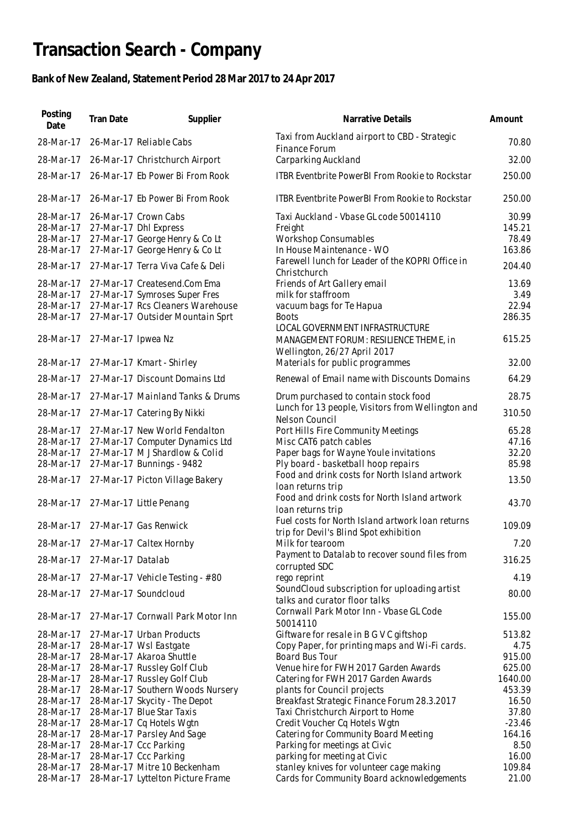## **Transaction Search - Company**

## **Bank of New Zealand, Statement Period 28 Mar 2017 to 24 Apr 2017**

| Posting<br>Date        | Tran Date          | Supplier                                                         | Narrative Details                                                                          | Amount            |
|------------------------|--------------------|------------------------------------------------------------------|--------------------------------------------------------------------------------------------|-------------------|
| 28-Mar-17              |                    | 26-Mar-17 Reliable Cabs                                          | Taxi from Auckland airport to CBD - Strategic<br>Finance Forum                             | 70.80             |
| 28-Mar-17              |                    | 26-Mar-17 Christchurch Airport                                   | Carparking Auckland                                                                        | 32.00             |
| 28-Mar-17              |                    | 26-Mar-17 Eb Power Bi From Rook                                  | <b>ITBR Eventbrite PowerBI From Rookie to Rockstar</b>                                     | 250.00            |
| 28-Mar-17              |                    | 26-Mar-17 Eb Power Bi From Rook                                  | ITBR Eventbrite PowerBI From Rookie to Rockstar                                            | 250.00            |
| 28-Mar-17              |                    | 26-Mar-17 Crown Cabs                                             | Taxi Auckland - Vbase GL code 50014110                                                     | 30.99             |
| 28-Mar-17              |                    | 27-Mar-17 Dhl Express                                            | Freight                                                                                    | 145.21            |
| 28-Mar-17<br>28-Mar-17 |                    | 27-Mar-17 George Henry & Co Lt<br>27-Mar-17 George Henry & Co Lt | <b>Workshop Consumables</b><br>In House Maintenance - WO                                   | 78.49<br>163.86   |
| 28-Mar-17              |                    | 27-Mar-17 Terra Viva Cafe & Deli                                 | Farewell lunch for Leader of the KOPRI Office in                                           | 204.40            |
| 28-Mar-17              |                    | 27-Mar-17 Createsend.Com Ema                                     | Christchurch<br>Friends of Art Gallery email                                               | 13.69             |
| 28-Mar-17              |                    | 27-Mar-17 Symroses Super Fres                                    | milk for staffroom                                                                         | 3.49              |
| 28-Mar-17              |                    | 27-Mar-17 Rcs Cleaners Warehouse                                 | vacuum bags for Te Hapua                                                                   | 22.94             |
| 28-Mar-17              |                    | 27-Mar-17 Outsider Mountain Sprt                                 | <b>Boots</b>                                                                               | 286.35            |
| 28-Mar-17              | 27-Mar-17 Ipwea Nz |                                                                  | LOCAL GOVERNMENT INFRASTRUCTURE<br>MANAGEMENT FORUM: RESILIENCE THEME, in                  | 615.25            |
| 28-Mar-17              |                    | 27-Mar-17 Kmart - Shirley                                        | Wellington, 26/27 April 2017<br>Materials for public programmes                            | 32.00             |
| 28-Mar-17              |                    | 27-Mar-17 Discount Domains Ltd                                   | Renewal of Email name with Discounts Domains                                               | 64.29             |
| 28-Mar-17              |                    | 27-Mar-17 Mainland Tanks & Drums                                 | Drum purchased to contain stock food                                                       | 28.75             |
| 28-Mar-17              |                    | 27-Mar-17 Catering By Nikki                                      | Lunch for 13 people, Visitors from Wellington and<br>Nelson Council                        | 310.50            |
| 28-Mar-17              |                    | 27-Mar-17 New World Fendalton                                    | Port Hills Fire Community Meetings                                                         | 65.28             |
| 28-Mar-17              |                    | 27-Mar-17 Computer Dynamics Ltd                                  | Misc CAT6 patch cables                                                                     | 47.16             |
| 28-Mar-17              |                    | 27-Mar-17 M J Shardlow & Colid                                   | Paper bags for Wayne Youle invitations                                                     | 32.20             |
| 28-Mar-17              |                    | 27-Mar-17 Bunnings - 9482                                        | Ply board - basketball hoop repairs<br>Food and drink costs for North Island artwork       | 85.98             |
| 28-Mar-17              |                    | 27-Mar-17 Picton Village Bakery                                  | loan returns trip                                                                          | 13.50             |
| 28-Mar-17              |                    | 27-Mar-17 Little Penang                                          | Food and drink costs for North Island artwork<br>loan returns trip                         | 43.70             |
| 28-Mar-17              |                    | 27-Mar-17 Gas Renwick                                            | Fuel costs for North Island artwork Ioan returns<br>trip for Devil's Blind Spot exhibition | 109.09            |
| 28-Mar-17              |                    | 27-Mar-17 Caltex Hornby                                          | Milk for tearoom                                                                           | 7.20              |
| 28-Mar-17              | 27-Mar-17 Datalab  |                                                                  | Payment to Datalab to recover sound files from<br>corrupted SDC                            | 316.25            |
| 28-Mar-17              |                    | 27-Mar-17 Vehicle Testing - #80                                  | rego reprint<br>SoundCloud subscription for uploading artist                               | 4.19              |
| 28-Mar-17              |                    | 27-Mar-17 Soundcloud                                             | talks and curator floor talks                                                              | 80.00             |
| 28-Mar-17              |                    | 27-Mar-17 Cornwall Park Motor Inn                                | Cornwall Park Motor Inn - Vbase GL Code<br>50014110                                        | 155.00            |
| 28-Mar-17              |                    | 27-Mar-17 Urban Products                                         | Giftware for resale in B G V C giftshop                                                    | 513.82            |
| 28-Mar-17              |                    | 28-Mar-17 Wsl Eastgate                                           | Copy Paper, for printing maps and Wi-Fi cards.                                             | 4.75              |
| 28-Mar-17              |                    | 28-Mar-17 Akaroa Shuttle                                         | Board Bus Tour                                                                             | 915.00            |
| 28-Mar-17              |                    | 28-Mar-17 Russley Golf Club                                      | Venue hire for FWH 2017 Garden Awards                                                      | 625.00            |
| 28-Mar-17<br>28-Mar-17 |                    | 28-Mar-17 Russley Golf Club<br>28-Mar-17 Southern Woods Nursery  | Catering for FWH 2017 Garden Awards<br>plants for Council projects                         | 1640.00<br>453.39 |
| 28-Mar-17              |                    | 28-Mar-17 Skycity - The Depot                                    | Breakfast Strategic Finance Forum 28.3.2017                                                | 16.50             |
| 28-Mar-17              |                    | 28-Mar-17 Blue Star Taxis                                        | Taxi Christchurch Airport to Home                                                          | 37.80             |
| 28-Mar-17              |                    | 28-Mar-17 Cq Hotels Wgtn                                         | Credit Voucher Cq Hotels Wgtn                                                              | $-23.46$          |
| 28-Mar-17              |                    | 28-Mar-17 Parsley And Sage                                       | Catering for Community Board Meeting                                                       | 164.16            |
| 28-Mar-17              |                    | 28-Mar-17 Ccc Parking                                            | Parking for meetings at Civic                                                              | 8.50              |
| 28-Mar-17              |                    | 28-Mar-17 Ccc Parking                                            | parking for meeting at Civic                                                               | 16.00             |
| 28-Mar-17              |                    | 28-Mar-17 Mitre 10 Beckenham                                     | stanley knives for volunteer cage making                                                   | 109.84            |
| 28-Mar-17              |                    | 28-Mar-17 Lyttelton Picture Frame                                | Cards for Community Board acknowledgements                                                 | 21.00             |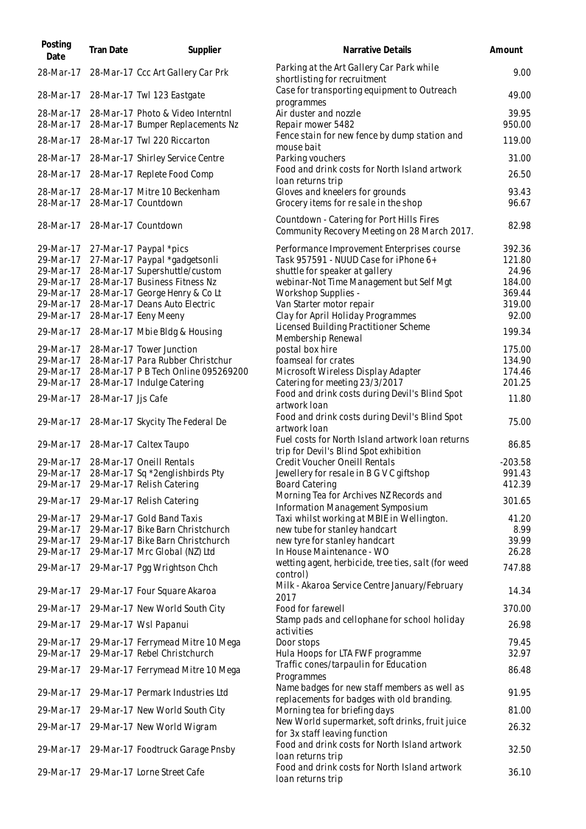| Posting<br>Date        | <b>Tran Date</b>   | Supplier                                                          | Narrative Details                                                                          | Amount           |
|------------------------|--------------------|-------------------------------------------------------------------|--------------------------------------------------------------------------------------------|------------------|
| 28-Mar-17              |                    | 28-Mar-17 Ccc Art Gallery Car Prk                                 | Parking at the Art Gallery Car Park while<br>shortlisting for recruitment                  | 9.00             |
| 28-Mar-17              |                    | 28-Mar-17 Twl 123 Eastgate                                        | Case for transporting equipment to Outreach<br>programmes                                  | 49.00            |
| 28-Mar-17              |                    | 28-Mar-17 Photo & Video Interntnl                                 | Air duster and nozzle                                                                      | 39.95            |
| 28-Mar-17              |                    | 28-Mar-17 Bumper Replacements Nz                                  | Repair mower 5482                                                                          | 950.00           |
| 28-Mar-17              |                    | 28-Mar-17 Twl 220 Riccarton                                       | Fence stain for new fence by dump station and<br>mouse bait                                | 119.00           |
| 28-Mar-17              |                    | 28-Mar-17 Shirley Service Centre                                  | Parking vouchers                                                                           | 31.00            |
| 28-Mar-17              |                    | 28-Mar-17 Replete Food Comp                                       | Food and drink costs for North Island artwork<br>loan returns trip                         | 26.50            |
| 28-Mar-17              |                    | 28-Mar-17 Mitre 10 Beckenham                                      | Gloves and kneelers for grounds                                                            | 93.43            |
| 28-Mar-17              |                    | 28-Mar-17 Countdown                                               | Grocery items for re sale in the shop                                                      | 96.67            |
| 28-Mar-17              |                    | 28-Mar-17 Countdown                                               | Countdown - Catering for Port Hills Fires<br>Community Recovery Meeting on 28 March 2017.  | 82.98            |
| 29-Mar-17              |                    | 27-Mar-17 Paypal *pics                                            | Performance Improvement Enterprises course                                                 | 392.36           |
| 29-Mar-17              |                    | 27-Mar-17 Paypal *gadgetsonli                                     | Task 957591 - NUUD Case for iPhone 6+                                                      | 121.80           |
| 29-Mar-17              |                    | 28-Mar-17 Supershuttle/custom                                     | shuttle for speaker at gallery                                                             | 24.96            |
| 29-Mar-17              |                    | 28-Mar-17 Business Fitness Nz                                     | webinar-Not Time Management but Self Mgt                                                   | 184.00           |
| 29-Mar-17              |                    | 28-Mar-17 George Henry & Co Lt                                    | Workshop Supplies -                                                                        | 369.44           |
| 29-Mar-17              |                    | 28-Mar-17 Deans Auto Electric                                     | Van Starter motor repair                                                                   | 319.00           |
| 29-Mar-17              |                    | 28-Mar-17 Eeny Meeny                                              | Clay for April Holiday Programmes                                                          | 92.00            |
| 29-Mar-17              |                    | 28-Mar-17 Mbie Bldg & Housing                                     | Licensed Building Practitioner Scheme<br>Membership Renewal                                | 199.34           |
| 29-Mar-17              |                    | 28-Mar-17 Tower Junction                                          | postal box hire                                                                            | 175.00           |
| 29-Mar-17              |                    | 28-Mar-17 Para Rubber Christchur                                  | foamseal for crates                                                                        | 134.90           |
| 29-Mar-17<br>29-Mar-17 |                    | 28-Mar-17 P B Tech Online 095269200<br>28-Mar-17 Indulge Catering | Microsoft Wireless Display Adapter                                                         | 174.46<br>201.25 |
| 29-Mar-17              | 28-Mar-17 Jjs Cafe |                                                                   | Catering for meeting 23/3/2017<br>Food and drink costs during Devil's Blind Spot           | 11.80            |
|                        |                    |                                                                   | artwork loan                                                                               |                  |
| 29-Mar-17              |                    | 28-Mar-17 Skycity The Federal De                                  | Food and drink costs during Devil's Blind Spot<br>artwork loan                             | 75.00            |
| 29-Mar-17              |                    | 28-Mar-17 Caltex Taupo                                            | Fuel costs for North Island artwork Ioan returns<br>trip for Devil's Blind Spot exhibition | 86.85            |
| 29-Mar-17              |                    | 28-Mar-17 Oneill Rentals                                          | Credit Voucher Oneill Rentals                                                              | $-203.58$        |
| 29-Mar-17              |                    | 28-Mar-17 Sq *2englishbirds Pty                                   | Jewellery for resale in B G V C giftshop                                                   | 991.43           |
| 29-Mar-17              |                    | 29-Mar-17 Relish Catering                                         | <b>Board Catering</b>                                                                      | 412.39           |
| 29-Mar-17              |                    | 29-Mar-17 Relish Catering                                         | Morning Tea for Archives NZ Records and<br>Information Management Symposium                | 301.65           |
| 29-Mar-17              |                    | 29-Mar-17 Gold Band Taxis                                         | Taxi whilst working at MBIE in Wellington.                                                 | 41.20            |
| 29-Mar-17              |                    | 29-Mar-17 Bike Barn Christchurch                                  | new tube for stanley handcart                                                              | 8.99             |
| 29-Mar-17              |                    | 29-Mar-17 Bike Barn Christchurch                                  | new tyre for stanley handcart                                                              | 39.99            |
| 29-Mar-17              |                    | 29-Mar-17 Mrc Global (NZ) Ltd                                     | In House Maintenance - WO                                                                  | 26.28            |
| 29-Mar-17              |                    | 29-Mar-17 Pgg Wrightson Chch                                      | wetting agent, herbicide, tree ties, salt (for weed<br>control)                            | 747.88           |
| 29-Mar-17              |                    | 29-Mar-17 Four Square Akaroa                                      | Milk - Akaroa Service Centre January/February<br>2017                                      | 14.34            |
| 29-Mar-17              |                    | 29-Mar-17 New World South City                                    | Food for farewell                                                                          | 370.00           |
| 29-Mar-17              |                    | 29-Mar-17 Wsl Papanui                                             | Stamp pads and cellophane for school holiday<br>activities                                 | 26.98            |
| 29-Mar-17              |                    | 29-Mar-17 Ferrymead Mitre 10 Mega                                 | Door stops                                                                                 | 79.45            |
| 29-Mar-17              |                    | 29-Mar-17 Rebel Christchurch                                      | Hula Hoops for LTA FWF programme                                                           | 32.97            |
| 29-Mar-17              |                    | 29-Mar-17 Ferrymead Mitre 10 Mega                                 | Traffic cones/tarpaulin for Education<br>Programmes                                        | 86.48            |
| 29-Mar-17              |                    | 29-Mar-17 Permark Industries Ltd                                  | Name badges for new staff members as well as<br>replacements for badges with old branding. | 91.95            |
| 29-Mar-17              |                    | 29-Mar-17 New World South City                                    | Morning tea for briefing days                                                              | 81.00            |
| 29-Mar-17              |                    | 29-Mar-17 New World Wigram                                        | New World supermarket, soft drinks, fruit juice                                            | 26.32            |
| 29-Mar-17              |                    | 29-Mar-17 Foodtruck Garage Pnsby                                  | for 3x staff leaving function<br>Food and drink costs for North Island artwork             | 32.50            |
|                        |                    |                                                                   | loan returns trip<br>Food and drink costs for North Island artwork                         |                  |
| 29-Mar-17              |                    | 29-Mar-17 Lorne Street Cafe                                       | loan returns trip                                                                          | 36.10            |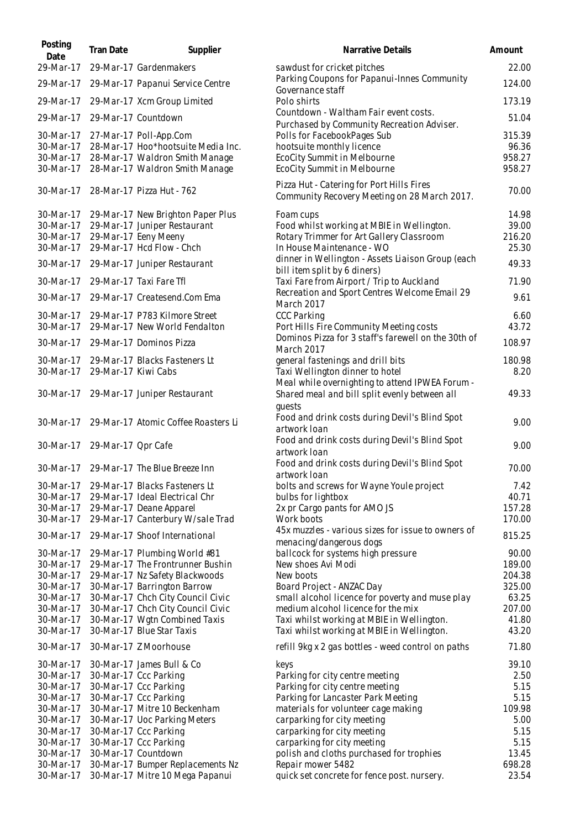| Posting<br>Date        | Tran Date                    | Supplier                                                          | Narrative Details                                                                              | Amount           |
|------------------------|------------------------------|-------------------------------------------------------------------|------------------------------------------------------------------------------------------------|------------------|
| 29-Mar-17              |                              | 29-Mar-17 Gardenmakers                                            | sawdust for cricket pitches                                                                    | 22.00            |
| 29-Mar-17              |                              | 29-Mar-17 Papanui Service Centre                                  | Parking Coupons for Papanui-Innes Community<br>Governance staff                                | 124.00           |
| 29-Mar-17              |                              | 29-Mar-17 Xcm Group Limited                                       | Polo shirts                                                                                    | 173.19           |
| 29-Mar-17              |                              | 29-Mar-17 Countdown                                               | Countdown - Waltham Fair event costs.<br>Purchased by Community Recreation Adviser.            | 51.04            |
| 30-Mar-17<br>30-Mar-17 |                              | 27-Mar-17 Poll-App.Com<br>28-Mar-17 Hoo*hootsuite Media Inc.      | Polls for FacebookPages Sub<br>hootsuite monthly licence                                       | 315.39<br>96.36  |
| 30-Mar-17              |                              | 28-Mar-17 Waldron Smith Manage                                    | EcoCity Summit in Melbourne                                                                    | 958.27           |
| 30-Mar-17              |                              | 28-Mar-17 Waldron Smith Manage                                    | EcoCity Summit in Melbourne                                                                    | 958.27           |
| 30-Mar-17              |                              | 28-Mar-17 Pizza Hut - 762                                         | Pizza Hut - Catering for Port Hills Fires<br>Community Recovery Meeting on 28 March 2017.      | 70.00            |
| 30-Mar-17              |                              | 29-Mar-17 New Brighton Paper Plus                                 | Foam cups                                                                                      | 14.98            |
| 30-Mar-17              |                              | 29-Mar-17 Juniper Restaurant                                      | Food whilst working at MBIE in Wellington.<br>Rotary Trimmer for Art Gallery Classroom         | 39.00<br>216.20  |
| 30-Mar-17<br>30-Mar-17 |                              | 29-Mar-17 Eeny Meeny<br>29-Mar-17 Hcd Flow - Chch                 | In House Maintenance - WO                                                                      | 25.30            |
| 30-Mar-17              |                              | 29-Mar-17 Juniper Restaurant                                      | dinner in Wellington - Assets Liaison Group (each<br>bill item split by 6 diners)              | 49.33            |
| 30-Mar-17              |                              | 29-Mar-17 Taxi Fare Tfl                                           | Taxi Fare from Airport / Trip to Auckland                                                      | 71.90            |
| 30-Mar-17              |                              | 29-Mar-17 Createsend.Com Ema                                      | Recreation and Sport Centres Welcome Email 29<br><b>March 2017</b>                             | 9.61             |
| 30-Mar-17              |                              | 29-Mar-17 P783 Kilmore Street                                     | <b>CCC Parking</b>                                                                             | 6.60             |
| 30-Mar-17              |                              | 29-Mar-17 New World Fendalton                                     | Port Hills Fire Community Meeting costs<br>Dominos Pizza for 3 staff's farewell on the 30th of | 43.72            |
| 30-Mar-17              |                              | 29-Mar-17 Dominos Pizza                                           | March 2017                                                                                     | 108.97           |
| 30-Mar-17              |                              | 29-Mar-17 Blacks Fasteners Lt                                     | general fastenings and drill bits                                                              | 180.98           |
| 30-Mar-17              | 29-Mar-17 Kiwi Cabs          |                                                                   | Taxi Wellington dinner to hotel<br>Meal while overnighting to attend IPWEA Forum -             | 8.20             |
| 30-Mar-17              |                              | 29-Mar-17 Juniper Restaurant                                      | Shared meal and bill split evenly between all<br>quests                                        | 49.33            |
|                        |                              | 30-Mar-17 29-Mar-17 Atomic Coffee Roasters Li                     | Food and drink costs during Devil's Blind Spot<br>artwork loan                                 | 9.00             |
|                        | 30-Mar-17 29-Mar-17 Opr Cafe |                                                                   | Food and drink costs during Devil's Blind Spot<br>artwork loan                                 | 9.00             |
| 30-Mar-17              |                              | 29-Mar-17 The Blue Breeze Inn                                     | Food and drink costs during Devil's Blind Spot<br>artwork Ioan                                 | 70.00            |
| 30-Mar-17              |                              | 29-Mar-17 Blacks Fasteners Lt                                     | bolts and screws for Wayne Youle project                                                       | 7.42             |
| 30-Mar-17              |                              | 29-Mar-17 Ideal Electrical Chr                                    | bulbs for lightbox                                                                             | 40.71            |
| 30-Mar-17              |                              | 29-Mar-17 Deane Apparel                                           | 2x pr Cargo pants for AMO JS                                                                   | 157.28           |
| 30-Mar-17<br>30-Mar-17 |                              | 29-Mar-17 Canterbury W/sale Trad<br>29-Mar-17 Shoof International | Work boots<br>45x muzzles - various sizes for issue to owners of                               | 170.00<br>815.25 |
| 30-Mar-17              |                              | 29-Mar-17 Plumbing World #81                                      | menacing/dangerous dogs<br>ballcock for systems high pressure                                  | 90.00            |
| 30-Mar-17              |                              | 29-Mar-17 The Frontrunner Bushin                                  | New shoes Avi Modi                                                                             | 189.00           |
| 30-Mar-17              |                              | 29-Mar-17 Nz Safety Blackwoods                                    | New boots                                                                                      | 204.38           |
| 30-Mar-17              |                              | 30-Mar-17 Barrington Barrow                                       | Board Project - ANZAC Day                                                                      | 325.00           |
| 30-Mar-17              |                              | 30-Mar-17 Chch City Council Civic                                 | small alcohol licence for poverty and muse play                                                | 63.25            |
| 30-Mar-17              |                              | 30-Mar-17 Chch City Council Civic                                 | medium alcohol licence for the mix                                                             | 207.00           |
| 30-Mar-17              |                              | 30-Mar-17 Wgtn Combined Taxis                                     | Taxi whilst working at MBIE in Wellington.                                                     | 41.80            |
| 30-Mar-17              |                              | 30-Mar-17 Blue Star Taxis                                         | Taxi whilst working at MBIE in Wellington.                                                     | 43.20            |
| 30-Mar-17              |                              | 30-Mar-17 Z Moorhouse                                             | refill 9kg x 2 gas bottles - weed control on paths                                             | 71.80            |
| 30-Mar-17              |                              | 30-Mar-17 James Bull & Co                                         | keys                                                                                           | 39.10            |
| 30-Mar-17<br>30-Mar-17 |                              | 30-Mar-17 Ccc Parking<br>30-Mar-17 Ccc Parking                    | Parking for city centre meeting<br>Parking for city centre meeting                             | 2.50<br>5.15     |
| 30-Mar-17              |                              | 30-Mar-17 Ccc Parking                                             | Parking for Lancaster Park Meeting                                                             | 5.15             |
| 30-Mar-17              |                              | 30-Mar-17 Mitre 10 Beckenham                                      | materials for volunteer cage making                                                            | 109.98           |
| 30-Mar-17              |                              | 30-Mar-17 Uoc Parking Meters                                      | carparking for city meeting                                                                    | 5.00             |
| 30-Mar-17              |                              | 30-Mar-17 Ccc Parking                                             | carparking for city meeting                                                                    | 5.15             |
| 30-Mar-17              |                              | 30-Mar-17 Ccc Parking                                             | carparking for city meeting                                                                    | 5.15             |
| 30-Mar-17              |                              | 30-Mar-17 Countdown                                               | polish and cloths purchased for trophies                                                       | 13.45            |
| 30-Mar-17              |                              | 30-Mar-17 Bumper Replacements Nz                                  | Repair mower 5482                                                                              | 698.28           |
| 30-Mar-17              |                              | 30-Mar-17 Mitre 10 Mega Papanui                                   | quick set concrete for fence post. nursery.                                                    | 23.54            |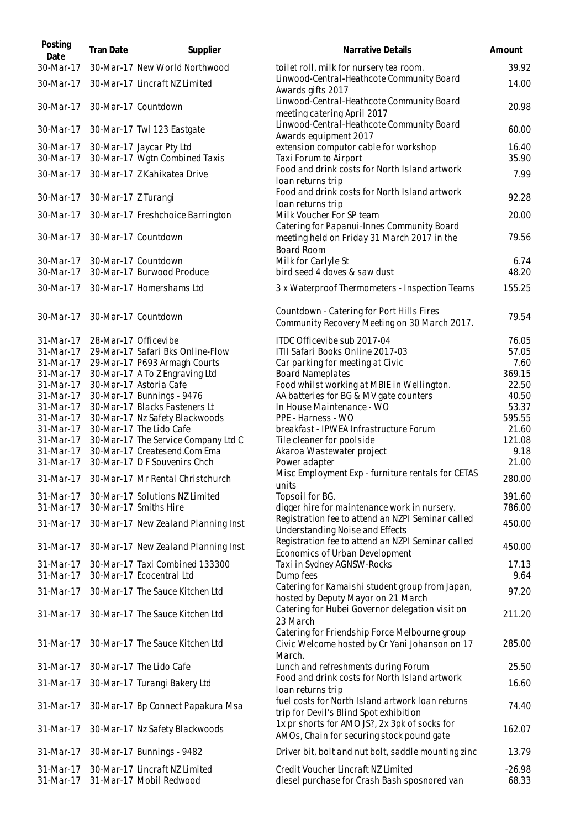| Posting<br>Date        | Tran Date            | Supplier                                                     | Narrative Details                                                                                         | Amount            |
|------------------------|----------------------|--------------------------------------------------------------|-----------------------------------------------------------------------------------------------------------|-------------------|
| 30-Mar-17              |                      | 30-Mar-17 New World Northwood                                | toilet roll, milk for nursery tea room.                                                                   | 39.92             |
| 30-Mar-17              |                      | 30-Mar-17 Lincraft NZ Limited                                | Linwood-Central-Heathcote Community Board<br>Awards gifts 2017                                            | 14.00             |
| 30-Mar-17              |                      | 30-Mar-17 Countdown                                          | Linwood-Central-Heathcote Community Board<br>meeting catering April 2017                                  | 20.98             |
| 30-Mar-17              |                      | 30-Mar-17 Twl 123 Eastgate                                   | Linwood-Central-Heathcote Community Board<br>Awards equipment 2017                                        | 60.00             |
| 30-Mar-17<br>30-Mar-17 |                      | 30-Mar-17 Jaycar Pty Ltd<br>30-Mar-17 Wgtn Combined Taxis    | extension computor cable for workshop<br>Taxi Forum to Airport                                            | 16.40<br>35.90    |
| 30-Mar-17              |                      | 30-Mar-17 Z Kahikatea Drive                                  | Food and drink costs for North Island artwork<br>loan returns trip                                        | 7.99              |
| 30-Mar-17              | 30-Mar-17 Z Turangi  |                                                              | Food and drink costs for North Island artwork<br>loan returns trip                                        | 92.28             |
| 30-Mar-17              |                      | 30-Mar-17 Freshchoice Barrington                             | Milk Voucher For SP team<br>Catering for Papanui-Innes Community Board                                    | 20.00             |
| 30-Mar-17              |                      | 30-Mar-17 Countdown                                          | meeting held on Friday 31 March 2017 in the<br><b>Board Room</b>                                          | 79.56             |
| 30-Mar-17<br>30-Mar-17 |                      | 30-Mar-17 Countdown<br>30-Mar-17 Burwood Produce             | Milk for Carlyle St<br>bird seed 4 doves & saw dust                                                       | 6.74<br>48.20     |
| 30-Mar-17              |                      | 30-Mar-17 Homershams Ltd                                     | 3 x Waterproof Thermometers - Inspection Teams                                                            | 155.25            |
| 30-Mar-17              |                      | 30-Mar-17 Countdown                                          | Countdown - Catering for Port Hills Fires<br>Community Recovery Meeting on 30 March 2017.                 | 79.54             |
| 31-Mar-17              | 28-Mar-17 Officevibe |                                                              | ITDC Officevibe sub 2017-04                                                                               | 76.05             |
| 31-Mar-17              |                      | 29-Mar-17 Safari Bks Online-Flow                             | ITII Safari Books Online 2017-03                                                                          | 57.05             |
| 31-Mar-17              |                      | 29-Mar-17 P693 Armagh Courts                                 | Car parking for meeting at Civic                                                                          | 7.60<br>369.15    |
| 31-Mar-17<br>31-Mar-17 |                      | 30-Mar-17 A To Z Engraving Ltd<br>30-Mar-17 Astoria Cafe     | <b>Board Nameplates</b><br>Food whilst working at MBIE in Wellington.                                     | 22.50             |
| 31-Mar-17              |                      | 30-Mar-17 Bunnings - 9476                                    | AA batteries for BG & MV gate counters                                                                    | 40.50             |
| 31-Mar-17              |                      | 30-Mar-17 Blacks Fasteners Lt                                | In House Maintenance - WO                                                                                 | 53.37             |
| 31-Mar-17              |                      | 30-Mar-17 Nz Safety Blackwoods                               | PPE - Harness - WO                                                                                        | 595.55            |
| 31-Mar-17              |                      | 30-Mar-17 The Lido Cafe                                      | breakfast - IPWEA Infrastructure Forum                                                                    | 21.60             |
| 31-Mar-17              |                      | 30-Mar-17 The Service Company Ltd C                          | Tile cleaner for poolside                                                                                 | 121.08            |
| 31-Mar-17              |                      | 30-Mar-17 Createsend.Com Ema                                 | Akaroa Wastewater project                                                                                 | 9.18              |
| 31-Mar-17              |                      | 30-Mar-17 D F Souvenirs Chch                                 | Power adapter                                                                                             | 21.00             |
|                        |                      | 31-Mar-17 30-Mar-17 Mr Rental Christchurch                   | Misc Employment Exp - furniture rentals for CETAS<br>units                                                | 280.00            |
| 31-Mar-17<br>31-Mar-17 |                      | 30-Mar-17 Solutions NZ Limited                               | Topsoil for BG.                                                                                           | 391.60            |
| 31-Mar-17              |                      | 30-Mar-17 Smiths Hire<br>30-Mar-17 New Zealand Planning Inst | digger hire for maintenance work in nursery.<br>Registration fee to attend an NZPI Seminar called         | 786.00<br>450.00  |
| 31-Mar-17              |                      | 30-Mar-17 New Zealand Planning Inst                          | Understanding Noise and Effects<br>Registration fee to attend an NZPI Seminar called                      | 450.00            |
| 31-Mar-17              |                      | 30-Mar-17 Taxi Combined 133300                               | Economics of Urban Development                                                                            | 17.13             |
| 31-Mar-17              |                      | 30-Mar-17 Ecocentral Ltd                                     | Taxi in Sydney AGNSW-Rocks<br>Dump fees                                                                   | 9.64              |
| 31-Mar-17              |                      | 30-Mar-17 The Sauce Kitchen Ltd                              | Catering for Kamaishi student group from Japan,<br>hosted by Deputy Mayor on 21 March                     | 97.20             |
| 31-Mar-17              |                      | 30-Mar-17 The Sauce Kitchen Ltd                              | Catering for Hubei Governor delegation visit on<br>23 March                                               | 211.20            |
| 31-Mar-17              |                      | 30-Mar-17 The Sauce Kitchen Ltd                              | Catering for Friendship Force Melbourne group<br>Civic Welcome hosted by Cr Yani Johanson on 17<br>March. | 285.00            |
| 31-Mar-17              |                      | 30-Mar-17 The Lido Cafe                                      | Lunch and refreshments during Forum                                                                       | 25.50             |
| 31-Mar-17              |                      | 30-Mar-17 Turangi Bakery Ltd                                 | Food and drink costs for North Island artwork<br>loan returns trip                                        | 16.60             |
| 31-Mar-17              |                      | 30-Mar-17 Bp Connect Papakura Msa                            | fuel costs for North Island artwork Ioan returns<br>trip for Devil's Blind Spot exhibition                | 74.40             |
| 31-Mar-17              |                      | 30-Mar-17 Nz Safety Blackwoods                               | 1x pr shorts for AMO JS?, 2x 3pk of socks for<br>AMOs, Chain for securing stock pound gate                | 162.07            |
| 31-Mar-17              |                      | 30-Mar-17 Bunnings - 9482                                    | Driver bit, bolt and nut bolt, saddle mounting zinc                                                       | 13.79             |
| 31-Mar-17<br>31-Mar-17 |                      | 30-Mar-17 Lincraft NZ Limited<br>31-Mar-17 Mobil Redwood     | Credit Voucher Lincraft NZ Limited<br>diesel purchase for Crash Bash sposnored van                        | $-26.98$<br>68.33 |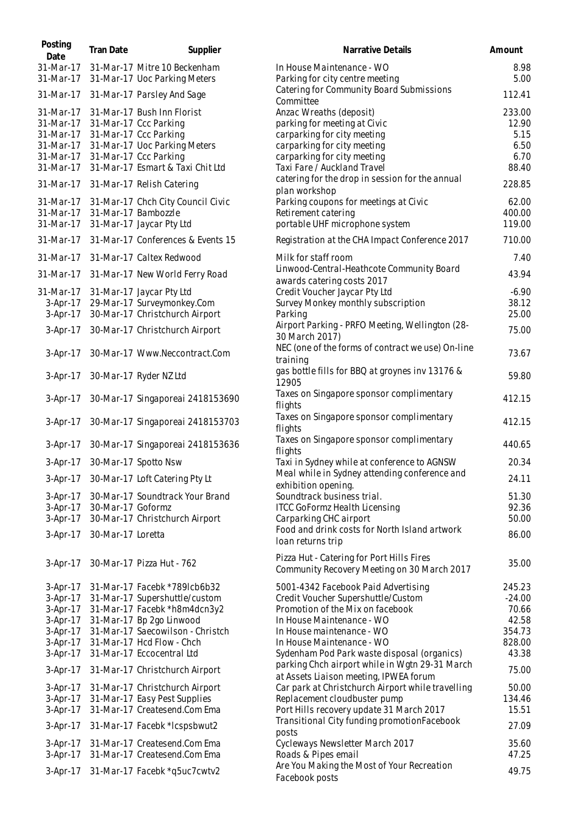| Posting<br>Date          | Tran Date         | Supplier                                | Narrative Details                                                                        | Amount         |
|--------------------------|-------------------|-----------------------------------------|------------------------------------------------------------------------------------------|----------------|
| 31-Mar-17                |                   | 31-Mar-17 Mitre 10 Beckenham            | In House Maintenance - WO                                                                | 8.98           |
| 31-Mar-17                |                   | 31-Mar-17 Uoc Parking Meters            | Parking for city centre meeting                                                          | 5.00           |
| 31-Mar-17                |                   | 31-Mar-17 Parsley And Sage              | Catering for Community Board Submissions<br>Committee                                    | 112.41         |
| 31-Mar-17                |                   | 31-Mar-17 Bush Inn Florist              | Anzac Wreaths (deposit)                                                                  | 233.00         |
| 31-Mar-17                |                   | 31-Mar-17 Ccc Parking                   | parking for meeting at Civic                                                             | 12.90          |
| 31-Mar-17                |                   | 31-Mar-17 Ccc Parking                   | carparking for city meeting                                                              | 5.15           |
| 31-Mar-17                |                   | 31-Mar-17 Uoc Parking Meters            | carparking for city meeting                                                              | 6.50           |
| 31-Mar-17                |                   | 31-Mar-17 Ccc Parking                   | carparking for city meeting                                                              | 6.70           |
| 31-Mar-17                |                   | 31-Mar-17 Esmart & Taxi Chit Ltd        | Taxi Fare / Auckland Travel                                                              | 88.40          |
| 31-Mar-17                |                   | 31-Mar-17 Relish Catering               | catering for the drop in session for the annual<br>plan workshop                         | 228.85         |
| 31-Mar-17                |                   | 31-Mar-17 Chch City Council Civic       | Parking coupons for meetings at Civic                                                    | 62.00          |
| 31-Mar-17                |                   | 31-Mar-17 Bambozzle                     | Retirement catering                                                                      | 400.00         |
| 31-Mar-17                |                   | 31-Mar-17 Jaycar Pty Ltd                | portable UHF microphone system                                                           | 119.00         |
| 31-Mar-17                |                   | 31-Mar-17 Conferences & Events 15       | Registration at the CHA Impact Conference 2017                                           | 710.00         |
| 31-Mar-17                |                   | 31-Mar-17 Caltex Redwood                | Milk for staff room                                                                      | 7.40           |
| 31-Mar-17                |                   | 31-Mar-17 New World Ferry Road          | Linwood-Central-Heathcote Community Board                                                | 43.94          |
|                          |                   |                                         | awards catering costs 2017                                                               |                |
| 31-Mar-17                |                   | 31-Mar-17 Jaycar Pty Ltd                | Credit Voucher Jaycar Pty Ltd                                                            | $-6.90$        |
| $3-Apr-17$               |                   | 29-Mar-17 Surveymonkey.Com              | Survey Monkey monthly subscription                                                       | 38.12          |
| $3-Apr-17$               |                   | 30-Mar-17 Christchurch Airport          | Parking                                                                                  | 25.00          |
| $3-Apr-17$               |                   | 30-Mar-17 Christchurch Airport          | Airport Parking - PRFO Meeting, Wellington (28-<br>30 March 2017)                        | 75.00          |
| $3-Apr-17$               |                   | 30-Mar-17 Www.Neccontract.Com           | NEC (one of the forms of contract we use) On-line<br>training                            | 73.67          |
| 3-Apr-17                 |                   | 30-Mar-17 Ryder NZ Ltd                  | gas bottle fills for BBQ at groynes inv 13176 &<br>12905                                 | 59.80          |
| $3-Apr-17$               |                   | 30-Mar-17 Singaporeai 2418153690        | Taxes on Singapore sponsor complimentary<br>flights                                      | 412.15         |
| $3-Apr-17$               |                   | 30-Mar-17 Singaporeai 2418153703        | Taxes on Singapore sponsor complimentary<br>flights                                      | 412.15         |
| 3-Apr-17                 |                   | 30-Mar-17 Singaporeai 2418153636        | Taxes on Singapore sponsor complimentary<br>flights                                      | 440.65         |
| 3-Apr-17                 |                   | 30-Mar-17 Spotto Nsw                    | Taxi in Sydney while at conference to AGNSW                                              | 20.34          |
|                          |                   | 3-Apr-17 30-Mar-17 Loft Catering Pty Lt | Meal while in Sydney attending conference and                                            | 24.11          |
|                          |                   |                                         | exhibition opening.<br>Soundtrack business trial.                                        |                |
| $3-Apr-17$<br>$3-Apr-17$ | 30-Mar-17 Goformz | 30-Mar-17 Soundtrack Your Brand         | <b>ITCC GoFormz Health Licensing</b>                                                     | 51.30<br>92.36 |
| $3-Apr-17$               |                   | 30-Mar-17 Christchurch Airport          | Carparking CHC airport                                                                   | 50.00          |
|                          |                   |                                         | Food and drink costs for North Island artwork                                            |                |
| $3-Apr-17$               | 30-Mar-17 Loretta |                                         | loan returns trip                                                                        | 86.00          |
| 3-Apr-17                 |                   | 30-Mar-17 Pizza Hut - 762               | Pizza Hut - Catering for Port Hills Fires<br>Community Recovery Meeting on 30 March 2017 | 35.00          |
| $3-Apr-17$               |                   | 31-Mar-17 Facebk *789lcb6b32            | 5001-4342 Facebook Paid Advertising                                                      | 245.23         |
| 3-Apr-17                 |                   | 31-Mar-17 Supershuttle/custom           | Credit Voucher Supershuttle/Custom                                                       | $-24.00$       |
| 3-Apr-17                 |                   | 31-Mar-17 Facebk *h8m4dcn3y2            | Promotion of the Mix on facebook                                                         | 70.66          |
| $3-Apr-17$               |                   | 31-Mar-17 Bp 2go Linwood                | In House Maintenance - WO                                                                | 42.58          |
| 3-Apr-17                 |                   | 31-Mar-17 Saecowilson - Christch        | In House maintenance - WO                                                                | 354.73         |
| $3-Apr-17$               |                   | 31-Mar-17 Hcd Flow - Chch               | In House Maintenance - WO                                                                | 828.00         |
| $3-Apr-17$               |                   | 31-Mar-17 Eccocentral Ltd               | Sydenham Pod Park waste disposal (organics)                                              | 43.38          |
| $3-Apr-17$               |                   | 31-Mar-17 Christchurch Airport          | parking Chch airport while in Wgtn 29-31 March<br>at Assets Liaison meeting, IPWEA forum | 75.00          |
| $3-Apr-17$               |                   | 31-Mar-17 Christchurch Airport          | Car park at Christchurch Airport while travelling                                        | 50.00          |
| $3-Apr-17$               |                   | 31-Mar-17 Easy Pest Supplies            | Replacement cloudbuster pump                                                             | 134.46         |
| $3-Apr-17$               |                   | 31-Mar-17 Createsend.Com Ema            | Port Hills recovery update 31 March 2017                                                 | 15.51          |
| $3-Apr-17$               |                   | 31-Mar-17 Facebk *lcspsbwut2            | Transitional City funding promotionFacebook<br>posts                                     | 27.09          |
| $3-Apr-17$               |                   | 31-Mar-17 Createsend.Com Ema            | Cycleways Newsletter March 2017                                                          | 35.60          |
| $3-Apr-17$               |                   | 31-Mar-17 Createsend.Com Ema            | Roads & Pipes email                                                                      | 47.25          |
| 3-Apr-17                 |                   | 31-Mar-17 Facebk *q5uc7cwtv2            | Are You Making the Most of Your Recreation<br>Facebook posts                             | 49.75          |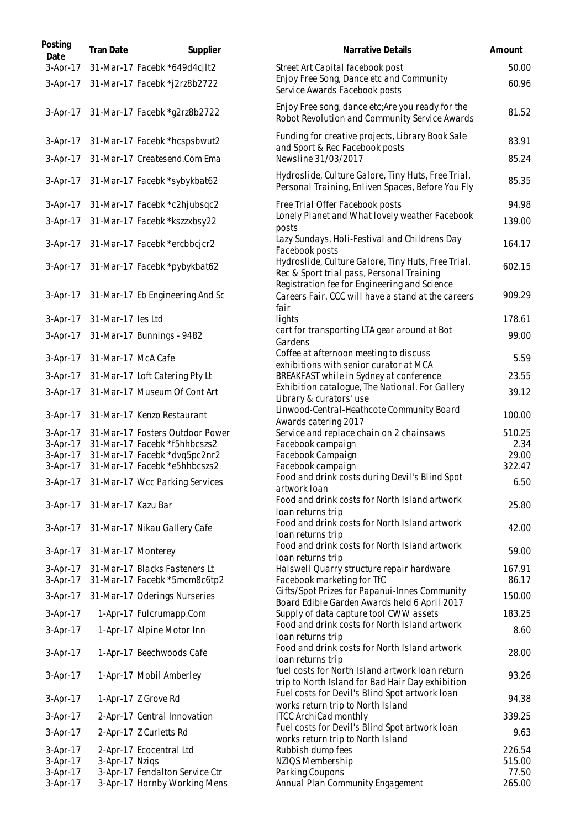| Posting<br>Date      | Tran Date          | Supplier                                                       | Narrative Details                                                                                                                               | Amount          |
|----------------------|--------------------|----------------------------------------------------------------|-------------------------------------------------------------------------------------------------------------------------------------------------|-----------------|
| $3-Apr-17$           |                    | 31-Mar-17 Facebk *649d4cj1t2                                   | Street Art Capital facebook post                                                                                                                | 50.00           |
| $3-Apr-17$           |                    | 31-Mar-17 Facebk *j2rz8b2722                                   | Enjoy Free Song, Dance etc and Community<br>Service Awards Facebook posts                                                                       | 60.96           |
| 3-Apr-17             |                    | 31-Mar-17 Facebk *g2rz8b2722                                   | Enjoy Free song, dance etc; Are you ready for the<br>Robot Revolution and Community Service Awards                                              | 81.52           |
| $3-Apr-17$           |                    | 31-Mar-17 Facebk *hcspsbwut2                                   | Funding for creative projects, Library Book Sale<br>and Sport & Rec Facebook posts                                                              | 83.91           |
| $3-Apr-17$           |                    | 31-Mar-17 Createsend.Com Ema                                   | Newsline 31/03/2017                                                                                                                             | 85.24           |
| 3-Apr-17             |                    | 31-Mar-17 Facebk *sybykbat62                                   | Hydroslide, Culture Galore, Tiny Huts, Free Trial,<br>Personal Training, Enliven Spaces, Before You Fly                                         | 85.35           |
| $3-Apr-17$           |                    | 31-Mar-17 Facebk *c2hjubsqc2                                   | Free Trial Offer Facebook posts                                                                                                                 | 94.98           |
| $3-Apr-17$           |                    | 31-Mar-17 Facebk *kszzxbsy22                                   | Lonely Planet and What lovely weather Facebook<br>posts                                                                                         | 139.00          |
| 3-Apr-17             |                    | 31-Mar-17 Facebk *ercbbcjcr2                                   | Lazy Sundays, Holi-Festival and Childrens Day<br>Facebook posts                                                                                 | 164.17          |
| $3-Apr-17$           |                    | 31-Mar-17 Facebk *pybykbat62                                   | Hydroslide, Culture Galore, Tiny Huts, Free Trial,<br>Rec & Sport trial pass, Personal Training<br>Registration fee for Engineering and Science | 602.15          |
| $3-Apr-17$           |                    | 31-Mar-17 Eb Engineering And Sc                                | Careers Fair. CCC will have a stand at the careers<br>fair                                                                                      | 909.29          |
| $3-Apr-17$           | 31-Mar-17 les Ltd  |                                                                | lights                                                                                                                                          | 178.61          |
| $3-Apr-17$           |                    | 31-Mar-17 Bunnings - 9482                                      | cart for transporting LTA gear around at Bot<br>Gardens                                                                                         | 99.00           |
| 3-Apr-17             | 31-Mar-17 McA Cafe |                                                                | Coffee at afternoon meeting to discuss<br>exhibitions with senior curator at MCA                                                                | 5.59            |
| $3-Apr-17$           |                    | 31-Mar-17 Loft Catering Pty Lt                                 | BREAKFAST while in Sydney at conference                                                                                                         | 23.55           |
| $3-Apr-17$           |                    | 31-Mar-17 Museum Of Cont Art                                   | Exhibition catalogue, The National. For Gallery<br>Library & curators' use                                                                      | 39.12           |
| $3-Apr-17$           |                    | 31-Mar-17 Kenzo Restaurant                                     | Linwood-Central-Heathcote Community Board<br>Awards catering 2017                                                                               | 100.00          |
| $3-Apr-17$           |                    | 31-Mar-17 Fosters Outdoor Power                                | Service and replace chain on 2 chainsaws                                                                                                        | 510.25          |
| $3-Apr-17$           |                    | 31-Mar-17 Facebk *f5hhbcszs2                                   | Facebook campaign                                                                                                                               | 2.34            |
| $3-Apr-17$           |                    | 31-Mar-17 Facebk *dvq5pc2nr2                                   | Facebook Campaign                                                                                                                               | 29.00           |
| $3-Apr-17$           |                    | 31-Mar-17 Facebk *e5hhbcszs2                                   | Facebook campaign<br>Food and drink costs during Devil's Blind Spot                                                                             | 322.47          |
|                      |                    | 3-Apr-17 31-Mar-17 Wcc Parking Services                        | artwork loan                                                                                                                                    | 6.50            |
| $3-Apr-17$           | 31-Mar-17 Kazu Bar |                                                                | Food and drink costs for North Island artwork<br>loan returns trip                                                                              | 25.80           |
| 3-Apr-17             |                    | 31-Mar-17 Nikau Gallery Cafe                                   | Food and drink costs for North Island artwork<br>loan returns trip                                                                              | 42.00           |
| 3-Apr-17             | 31-Mar-17 Monterey |                                                                | Food and drink costs for North Island artwork<br>loan returns trip                                                                              | 59.00           |
| $3-Apr-17$           |                    | 31-Mar-17 Blacks Fasteners Lt                                  | Halswell Quarry structure repair hardware                                                                                                       | 167.91          |
| $3-Apr-17$           |                    | 31-Mar-17 Facebk *5mcm8c6tp2                                   | Facebook marketing for TfC                                                                                                                      | 86.17           |
| $3-Apr-17$           |                    | 31-Mar-17 Oderings Nurseries                                   | Gifts/Spot Prizes for Papanui-Innes Community<br>Board Edible Garden Awards held 6 April 2017                                                   | 150.00          |
| $3-Apr-17$           |                    | 1-Apr-17 Fulcrumapp.Com                                        | Supply of data capture tool CWW assets                                                                                                          | 183.25          |
| 3-Apr-17             |                    | 1-Apr-17 Alpine Motor Inn                                      | Food and drink costs for North Island artwork<br>loan returns trip                                                                              | 8.60            |
| 3-Apr-17             |                    | 1-Apr-17 Beechwoods Cafe                                       | Food and drink costs for North Island artwork<br>loan returns trip                                                                              | 28.00           |
| 3-Apr-17             |                    | 1-Apr-17 Mobil Amberley                                        | fuel costs for North Island artwork Ioan return<br>trip to North Island for Bad Hair Day exhibition                                             | 93.26           |
| 3-Apr-17             |                    | 1-Apr-17 Z Grove Rd                                            | Fuel costs for Devil's Blind Spot artwork loan<br>works return trip to North Island                                                             | 94.38           |
| 3-Apr-17             |                    | 2-Apr-17 Central Innovation                                    | <b>ITCC ArchiCad monthly</b>                                                                                                                    | 339.25          |
| $3-Apr-17$           |                    | 2-Apr-17 Z Curletts Rd                                         | Fuel costs for Devil's Blind Spot artwork loan<br>works return trip to North Island                                                             | 9.63            |
| $3-Apr-17$           |                    | 2-Apr-17 Ecocentral Ltd                                        | Rubbish dump fees                                                                                                                               | 226.54          |
| 3-Apr-17             | 3-Apr-17 Nzigs     |                                                                | NZIQS Membership                                                                                                                                | 515.00          |
| 3-Apr-17<br>3-Apr-17 |                    | 3-Apr-17 Fendalton Service Ctr<br>3-Apr-17 Hornby Working Mens | Parking Coupons<br>Annual Plan Community Engagement                                                                                             | 77.50<br>265.00 |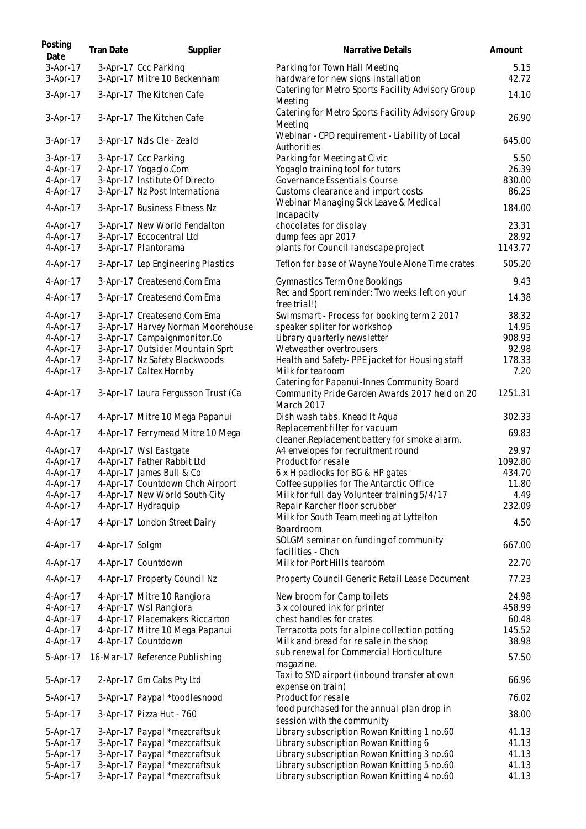| Posting<br>Date        | Tran Date      | Supplier                                                         | Narrative Details                                                                           | Amount          |
|------------------------|----------------|------------------------------------------------------------------|---------------------------------------------------------------------------------------------|-----------------|
| $3-Apr-17$<br>3-Apr-17 |                | 3-Apr-17 Ccc Parking<br>3-Apr-17 Mitre 10 Beckenham              | Parking for Town Hall Meeting<br>hardware for new signs installation                        | 5.15<br>42.72   |
| 3-Apr-17               |                | 3-Apr-17 The Kitchen Cafe                                        | Catering for Metro Sports Facility Advisory Group<br>Meeting                                | 14.10           |
| 3-Apr-17               |                | 3-Apr-17 The Kitchen Cafe                                        | Catering for Metro Sports Facility Advisory Group<br>Meeting                                | 26.90           |
| 3-Apr-17               |                | 3-Apr-17 Nzls Cle - Zeald                                        | Webinar - CPD requirement - Liability of Local<br>Authorities                               | 645.00          |
| 3-Apr-17               |                | 3-Apr-17 Ccc Parking                                             | Parking for Meeting at Civic                                                                | 5.50            |
| 4-Apr-17               |                | 2-Apr-17 Yogaglo.Com                                             | Yogaglo training tool for tutors                                                            | 26.39           |
| 4-Apr-17               |                | 3-Apr-17 Institute Of Directo                                    | Governance Essentials Course                                                                | 830.00          |
| 4-Apr-17<br>4-Apr-17   |                | 3-Apr-17 Nz Post Internationa<br>3-Apr-17 Business Fitness Nz    | Customs clearance and import costs<br>Webinar Managing Sick Leave & Medical                 | 86.25<br>184.00 |
|                        |                |                                                                  | Incapacity                                                                                  |                 |
| 4-Apr-17               |                | 3-Apr-17 New World Fendalton                                     | chocolates for display                                                                      | 23.31           |
| 4-Apr-17               |                | 3-Apr-17 Eccocentral Ltd                                         | dump fees apr 2017                                                                          | 28.92           |
| 4-Apr-17               |                | 3-Apr-17 Plantorama                                              | plants for Council landscape project                                                        | 1143.77         |
| 4-Apr-17               |                | 3-Apr-17 Lep Engineering Plastics                                | Teflon for base of Wayne Youle Alone Time crates                                            | 505.20          |
| $4-Apr-17$             |                | 3-Apr-17 Createsend.Com Ema                                      | <b>Gymnastics Term One Bookings</b>                                                         | 9.43            |
| 4-Apr-17               |                | 3-Apr-17 Createsend.Com Ema                                      | Rec and Sport reminder: Two weeks left on your<br>free trial!)                              | 14.38           |
| 4-Apr-17               |                | 3-Apr-17 Createsend.Com Ema                                      | Swimsmart - Process for booking term 2 2017                                                 | 38.32           |
| 4-Apr-17               |                | 3-Apr-17 Harvey Norman Moorehouse                                | speaker spliter for workshop                                                                | 14.95           |
| 4-Apr-17               |                | 3-Apr-17 Campaignmonitor.Co                                      | Library quarterly newsletter                                                                | 908.93          |
| 4-Apr-17               |                | 3-Apr-17 Outsider Mountain Sprt                                  | Wetweather overtrousers                                                                     | 92.98<br>178.33 |
| 4-Apr-17<br>4-Apr-17   |                | 3-Apr-17 Nz Safety Blackwoods<br>3-Apr-17 Caltex Hornby          | Health and Safety-PPE jacket for Housing staff<br>Milk for tearoom                          | 7.20            |
| 4-Apr-17               |                | 3-Apr-17 Laura Fergusson Trust (Ca                               | Catering for Papanui-Innes Community Board<br>Community Pride Garden Awards 2017 held on 20 | 1251.31         |
| 4-Apr-17               |                | 4-Apr-17 Mitre 10 Mega Papanui                                   | March 2017<br>Dish wash tabs. Knead It Aqua                                                 | 302.33          |
|                        |                |                                                                  | Replacement filter for vacuum                                                               |                 |
| 4-Apr-17<br>4-Apr-17   |                | 4-Apr-17 Ferrymead Mitre 10 Mega<br>4-Apr-17 Wsl Eastgate        | cleaner. Replacement battery for smoke alarm.<br>A4 envelopes for recruitment round         | 69.83<br>29.97  |
| 4-Apr-17               |                | 4-Apr-17 Father Rabbit Ltd                                       | Product for resale                                                                          | 1092.80         |
| 4-Apr-17               |                | 4-Apr-17 James Bull & Co                                         | 6 x H padlocks for BG & HP gates                                                            | 434.70          |
| 4-Apr-17               |                | 4-Apr-17 Countdown Chch Airport                                  | Coffee supplies for The Antarctic Office                                                    | 11.80           |
| 4-Apr-17               |                | 4-Apr-17 New World South City                                    | Milk for full day Volunteer training 5/4/17                                                 | 4.49            |
| 4-Apr-17               |                | 4-Apr-17 Hydraquip                                               | Repair Karcher floor scrubber                                                               | 232.09          |
| 4-Apr-17               |                | 4-Apr-17 London Street Dairy                                     | Milk for South Team meeting at Lyttelton<br>Boardroom                                       | 4.50            |
| 4-Apr-17               | 4-Apr-17 Solgm |                                                                  | SOLGM seminar on funding of community<br>facilities - Chch                                  | 667.00          |
| 4-Apr-17               |                | 4-Apr-17 Countdown                                               | Milk for Port Hills tearoom                                                                 | 22.70           |
| 4-Apr-17               |                | 4-Apr-17 Property Council Nz                                     | Property Council Generic Retail Lease Document                                              | 77.23           |
| 4-Apr-17               |                | 4-Apr-17 Mitre 10 Rangiora                                       | New broom for Camp toilets                                                                  | 24.98           |
| 4-Apr-17               |                | 4-Apr-17 Wsl Rangiora                                            | 3 x coloured ink for printer                                                                | 458.99          |
| 4-Apr-17<br>4-Apr-17   |                | 4-Apr-17 Placemakers Riccarton<br>4-Apr-17 Mitre 10 Mega Papanui | chest handles for crates                                                                    | 60.48<br>145.52 |
| $4-Apr-17$             |                | 4-Apr-17 Countdown                                               | Terracotta pots for alpine collection potting<br>Milk and bread for re sale in the shop     | 38.98           |
| 5-Apr-17               |                | 16-Mar-17 Reference Publishing                                   | sub renewal for Commercial Horticulture                                                     | 57.50           |
| 5-Apr-17               |                | 2-Apr-17 Gm Cabs Pty Ltd                                         | magazine.<br>Taxi to SYD airport (inbound transfer at own                                   | 66.96           |
| 5-Apr-17               |                | 3-Apr-17 Paypal *toodlesnood                                     | expense on train)<br>Product for resale                                                     | 76.02           |
| 5-Apr-17               |                | 3-Apr-17 Pizza Hut - 760                                         | food purchased for the annual plan drop in<br>session with the community                    | 38.00           |
| 5-Apr-17               |                | 3-Apr-17 Paypal *mezcraftsuk                                     | Library subscription Rowan Knitting 1 no.60                                                 | 41.13           |
| 5-Apr-17               |                | 3-Apr-17 Paypal *mezcraftsuk                                     | Library subscription Rowan Knitting 6                                                       | 41.13           |
| 5-Apr-17               |                | 3-Apr-17 Paypal *mezcraftsuk                                     | Library subscription Rowan Knitting 3 no.60                                                 | 41.13           |
| 5-Apr-17               |                | 3-Apr-17 Paypal *mezcraftsuk                                     | Library subscription Rowan Knitting 5 no.60                                                 | 41.13           |
| 5-Apr-17               |                | 3-Apr-17 Paypal *mezcraftsuk                                     | Library subscription Rowan Knitting 4 no.60                                                 | 41.13           |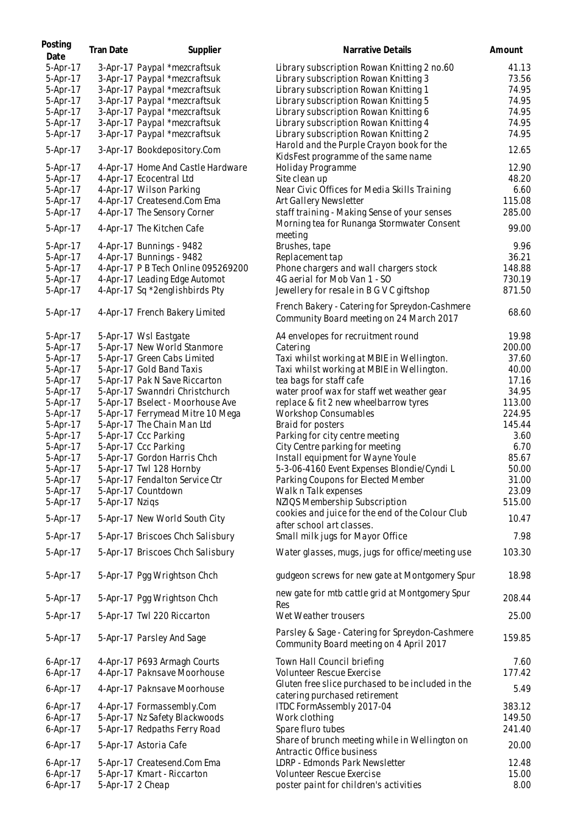| Posting<br>Date | Tran Date        | Supplier                           | Narrative Details                                                                          | Amount |
|-----------------|------------------|------------------------------------|--------------------------------------------------------------------------------------------|--------|
| 5-Apr-17        |                  | 3-Apr-17 Paypal *mezcraftsuk       | Library subscription Rowan Knitting 2 no.60                                                | 41.13  |
| 5-Apr-17        |                  | 3-Apr-17 Paypal *mezcraftsuk       | Library subscription Rowan Knitting 3                                                      | 73.56  |
| 5-Apr-17        |                  | 3-Apr-17 Paypal *mezcraftsuk       | Library subscription Rowan Knitting 1                                                      | 74.95  |
| 5-Apr-17        |                  | 3-Apr-17 Paypal *mezcraftsuk       | Library subscription Rowan Knitting 5                                                      | 74.95  |
| 5-Apr-17        |                  | 3-Apr-17 Paypal *mezcraftsuk       | Library subscription Rowan Knitting 6                                                      | 74.95  |
| 5-Apr-17        |                  | 3-Apr-17 Paypal *mezcraftsuk       | Library subscription Rowan Knitting 4                                                      | 74.95  |
| 5-Apr-17        |                  | 3-Apr-17 Paypal *mezcraftsuk       | Library subscription Rowan Knitting 2                                                      | 74.95  |
| 5-Apr-17        |                  | 3-Apr-17 Bookdepository.Com        | Harold and the Purple Crayon book for the<br>KidsFest programme of the same name           | 12.65  |
| 5-Apr-17        |                  | 4-Apr-17 Home And Castle Hardware  | Holiday Programme                                                                          | 12.90  |
| 5-Apr-17        |                  | 4-Apr-17 Ecocentral Ltd            | Site clean up                                                                              | 48.20  |
| 5-Apr-17        |                  | 4-Apr-17 Wilson Parking            | Near Civic Offices for Media Skills Training                                               | 6.60   |
| 5-Apr-17        |                  | 4-Apr-17 Createsend.Com Ema        | Art Gallery Newsletter                                                                     | 115.08 |
| 5-Apr-17        |                  | 4-Apr-17 The Sensory Corner        | staff training - Making Sense of your senses                                               | 285.00 |
| 5-Apr-17        |                  | 4-Apr-17 The Kitchen Cafe          | Morning tea for Runanga Stormwater Consent<br>meeting                                      | 99.00  |
| 5-Apr-17        |                  | 4-Apr-17 Bunnings - 9482           | Brushes, tape                                                                              | 9.96   |
| 5-Apr-17        |                  | 4-Apr-17 Bunnings - 9482           | Replacement tap                                                                            | 36.21  |
| 5-Apr-17        |                  | 4-Apr-17 P B Tech Online 095269200 | Phone chargers and wall chargers stock                                                     | 148.88 |
| 5-Apr-17        |                  | 4-Apr-17 Leading Edge Automot      | 4G aerial for Mob Van 1 - SO                                                               | 730.19 |
| 5-Apr-17        |                  | 4-Apr-17 Sq *2englishbirds Pty     | Jewellery for resale in B G V C giftshop                                                   | 871.50 |
| 5-Apr-17        |                  | 4-Apr-17 French Bakery Limited     | French Bakery - Catering for Spreydon-Cashmere<br>Community Board meeting on 24 March 2017 | 68.60  |
| 5-Apr-17        |                  | 5-Apr-17 Wsl Eastgate              | A4 envelopes for recruitment round                                                         | 19.98  |
| 5-Apr-17        |                  | 5-Apr-17 New World Stanmore        | Catering                                                                                   | 200.00 |
| 5-Apr-17        |                  | 5-Apr-17 Green Cabs Limited        | Taxi whilst working at MBIE in Wellington.                                                 | 37.60  |
| 5-Apr-17        |                  | 5-Apr-17 Gold Band Taxis           | Taxi whilst working at MBIE in Wellington.                                                 | 40.00  |
| 5-Apr-17        |                  | 5-Apr-17 Pak N Save Riccarton      | tea bags for staff cafe                                                                    | 17.16  |
| 5-Apr-17        |                  | 5-Apr-17 Swanndri Christchurch     | water proof wax for staff wet weather gear                                                 | 34.95  |
| 5-Apr-17        |                  | 5-Apr-17 Bselect - Moorhouse Ave   | replace & fit 2 new wheelbarrow tyres                                                      | 113.00 |
| 5-Apr-17        |                  | 5-Apr-17 Ferrymead Mitre 10 Mega   | <b>Workshop Consumables</b>                                                                | 224.95 |
| 5-Apr-17        |                  | 5-Apr-17 The Chain Man Ltd         | Braid for posters                                                                          | 145.44 |
| 5-Apr-17        |                  | 5-Apr-17 Ccc Parking               | Parking for city centre meeting                                                            | 3.60   |
| 5-Apr-17        |                  | 5-Apr-17 Ccc Parking               | City Centre parking for meeting                                                            | 6.70   |
| 5-Apr-17        |                  |                                    |                                                                                            |        |
|                 |                  | 5-Apr-17 Gordon Harris Chch        | Install equipment for Wayne Youle                                                          | 85.67  |
| 5-Apr-17        |                  | 5-Apr-17 Twl 128 Hornby            | 5-3-06-4160 Event Expenses Blondie/Cyndi L                                                 | 50.00  |
| 5-Apr-17        |                  | 5-Apr-17 Fendalton Service Ctr     | Parking Coupons for Elected Member                                                         | 31.00  |
| 5-Apr-17        |                  | 5-Apr-17 Countdown                 | Walk n Talk expenses                                                                       | 23.09  |
| 5-Apr-17        | 5-Apr-17 Nzigs   |                                    | NZIQS Membership Subscription                                                              | 515.00 |
| 5-Apr-17        |                  | 5-Apr-17 New World South City      | cookies and juice for the end of the Colour Club<br>after school art classes.              | 10.47  |
| 5-Apr-17        |                  | 5-Apr-17 Briscoes Chch Salisbury   | Small milk jugs for Mayor Office                                                           | 7.98   |
| 5-Apr-17        |                  | 5-Apr-17 Briscoes Chch Salisbury   | Water glasses, mugs, jugs for office/meeting use                                           | 103.30 |
| 5-Apr-17        |                  | 5-Apr-17 Pgg Wrightson Chch        | gudgeon screws for new gate at Montgomery Spur                                             | 18.98  |
| 5-Apr-17        |                  | 5-Apr-17 Pgg Wrightson Chch        | new gate for mtb cattle grid at Montgomery Spur<br>Res                                     | 208.44 |
| 5-Apr-17        |                  | 5-Apr-17 Twl 220 Riccarton         | Wet Weather trousers                                                                       | 25.00  |
| 5-Apr-17        |                  | 5-Apr-17 Parsley And Sage          | Parsley & Sage - Catering for Spreydon-Cashmere<br>Community Board meeting on 4 April 2017 | 159.85 |
| $6-Apr-17$      |                  | 4-Apr-17 P693 Armagh Courts        | Town Hall Council briefing                                                                 | 7.60   |
| $6-Apr-17$      |                  | 4-Apr-17 Paknsave Moorhouse        | Volunteer Rescue Exercise                                                                  | 177.42 |
| 6-Apr-17        |                  | 4-Apr-17 Paknsave Moorhouse        | Gluten free slice purchased to be included in the<br>catering purchased retirement         | 5.49   |
| $6-Apr-17$      |                  | 4-Apr-17 Formassembly.Com          | ITDC FormAssembly 2017-04                                                                  | 383.12 |
| $6-Apr-17$      |                  | 5-Apr-17 Nz Safety Blackwoods      | Work clothing                                                                              | 149.50 |
| $6-Apr-17$      |                  | 5-Apr-17 Redpaths Ferry Road       | Spare fluro tubes                                                                          | 241.40 |
| $6-Apr-17$      |                  | 5-Apr-17 Astoria Cafe              | Share of brunch meeting while in Wellington on<br>Antractic Office business                | 20.00  |
| $6-Apr-17$      |                  | 5-Apr-17 Createsend.Com Ema        | LDRP - Edmonds Park Newsletter                                                             | 12.48  |
| $6-Apr-17$      |                  | 5-Apr-17 Kmart - Riccarton         | Volunteer Rescue Exercise                                                                  | 15.00  |
| 6-Apr-17        | 5-Apr-17 2 Cheap |                                    | poster paint for children's activities                                                     | 8.00   |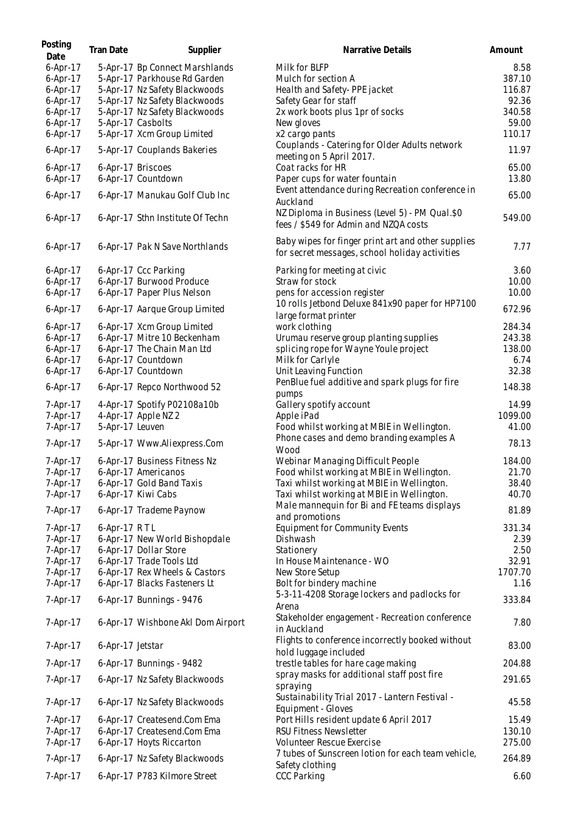| Posting<br>Date | Tran Date        | Supplier                          | Narrative Details                                                                                    | Amount  |
|-----------------|------------------|-----------------------------------|------------------------------------------------------------------------------------------------------|---------|
| 6-Apr-17        |                  | 5-Apr-17 Bp Connect Marshlands    | Milk for BLFP                                                                                        | 8.58    |
| $6-Apr-17$      |                  | 5-Apr-17 Parkhouse Rd Garden      | Mulch for section A                                                                                  | 387.10  |
| 6-Apr-17        |                  | 5-Apr-17 Nz Safety Blackwoods     | Health and Safety-PPE jacket                                                                         | 116.87  |
| 6-Apr-17        |                  | 5-Apr-17 Nz Safety Blackwoods     | Safety Gear for staff                                                                                | 92.36   |
| $6-Apr-17$      |                  | 5-Apr-17 Nz Safety Blackwoods     | 2x work boots plus 1pr of socks                                                                      | 340.58  |
| $6-Apr-17$      |                  | 5-Apr-17 Casbolts                 | New gloves                                                                                           | 59.00   |
| 6-Apr-17        |                  | 5-Apr-17 Xcm Group Limited        | x2 cargo pants                                                                                       | 110.17  |
| 6-Apr-17        |                  | 5-Apr-17 Couplands Bakeries       | Couplands - Catering for Older Adults network<br>meeting on 5 April 2017.                            | 11.97   |
| 6-Apr-17        |                  | 6-Apr-17 Briscoes                 | Coat racks for HR                                                                                    | 65.00   |
| $6-Apr-17$      |                  | 6-Apr-17 Countdown                | Paper cups for water fountain                                                                        | 13.80   |
| 6-Apr-17        |                  | 6-Apr-17 Manukau Golf Club Inc    | Event attendance during Recreation conference in<br>Auckland                                         | 65.00   |
| 6-Apr-17        |                  | 6-Apr-17 Sthn Institute Of Techn  | NZ Diploma in Business (Level 5) - PM Qual.\$0<br>fees / \$549 for Admin and NZQA costs              | 549.00  |
| $6-Apr-17$      |                  | 6-Apr-17 Pak N Save Northlands    | Baby wipes for finger print art and other supplies<br>for secret messages, school holiday activities | 7.77    |
| $6-Apr-17$      |                  | 6-Apr-17 Ccc Parking              | Parking for meeting at civic                                                                         | 3.60    |
| $6-Apr-17$      |                  | 6-Apr-17 Burwood Produce          | Straw for stock                                                                                      | 10.00   |
| 6-Apr-17        |                  | 6-Apr-17 Paper Plus Nelson        | pens for accession register                                                                          | 10.00   |
| $6-Apr-17$      |                  | 6-Apr-17 Aarque Group Limited     | 10 rolls Jetbond Deluxe 841x90 paper for HP7100<br>large format printer                              | 672.96  |
| $6-Apr-17$      |                  | 6-Apr-17 Xcm Group Limited        | work clothing                                                                                        | 284.34  |
| 6-Apr-17        |                  | 6-Apr-17 Mitre 10 Beckenham       | Urumau reserve group planting supplies                                                               | 243.38  |
| 6-Apr-17        |                  | 6-Apr-17 The Chain Man Ltd        | splicing rope for Wayne Youle project                                                                | 138.00  |
| $6-Apr-17$      |                  | 6-Apr-17 Countdown                | Milk for Carlyle                                                                                     | 6.74    |
| $6-Apr-17$      |                  | 6-Apr-17 Countdown                | Unit Leaving Function                                                                                | 32.38   |
| 6-Apr-17        |                  | 6-Apr-17 Repco Northwood 52       | PenBlue fuel additive and spark plugs for fire<br>pumps                                              | 148.38  |
| 7-Apr-17        |                  | 4-Apr-17 Spotify P02108a10b       | Gallery spotify account                                                                              | 14.99   |
| 7-Apr-17        |                  | 4-Apr-17 Apple NZ 2               | Apple iPad                                                                                           | 1099.00 |
| 7-Apr-17        | 5-Apr-17 Leuven  |                                   | Food whilst working at MBIE in Wellington.                                                           | 41.00   |
| 7-Apr-17        |                  | 5-Apr-17 Www.Aliexpress.Com       | Phone cases and demo branding examples A<br>Wood                                                     | 78.13   |
| 7-Apr-17        |                  | 6-Apr-17 Business Fitness Nz      | Webinar Managing Difficult People                                                                    | 184.00  |
| 7-Apr-17        |                  | 6-Apr-17 Americanos               | Food whilst working at MBIE in Wellington.                                                           | 21.70   |
| 7-Apr-17        |                  | 6-Apr-17 Gold Band Taxis          | Taxi whilst working at MBIE in Wellington.                                                           | 38.40   |
| 7-Apr-17        |                  | 6-Apr-17 Kiwi Cabs                | Taxi whilst working at MBIE in Wellington.                                                           | 40.70   |
| 7-Apr-17        |                  | 6-Apr-17 Trademe Paynow           | Male mannequin for Bi and FE teams displays<br>and promotions                                        | 81.89   |
| 7-Apr-17        | 6-Apr-17 RTL     |                                   | <b>Equipment for Community Events</b>                                                                | 331.34  |
| 7-Apr-17        |                  | 6-Apr-17 New World Bishopdale     | Dishwash                                                                                             | 2.39    |
| 7-Apr-17        |                  | 6-Apr-17 Dollar Store             | Stationery                                                                                           | 2.50    |
| 7-Apr-17        |                  | 6-Apr-17 Trade Tools Ltd          | In House Maintenance - WO                                                                            | 32.91   |
| 7-Apr-17        |                  | 6-Apr-17 Rex Wheels & Castors     | New Store Setup                                                                                      | 1707.70 |
| 7-Apr-17        |                  | 6-Apr-17 Blacks Fasteners Lt      | Bolt for bindery machine                                                                             | 1.16    |
| 7-Apr-17        |                  | 6-Apr-17 Bunnings - 9476          | 5-3-11-4208 Storage lockers and padlocks for<br>Arena                                                | 333.84  |
| 7-Apr-17        |                  | 6-Apr-17 Wishbone Akl Dom Airport | Stakeholder engagement - Recreation conference<br>in Auckland                                        | 7.80    |
| 7-Apr-17        | 6-Apr-17 Jetstar |                                   | Flights to conference incorrectly booked without<br>hold luggage included                            | 83.00   |
| 7-Apr-17        |                  | 6-Apr-17 Bunnings - 9482          | trestle tables for hare cage making                                                                  | 204.88  |
| 7-Apr-17        |                  | 6-Apr-17 Nz Safety Blackwoods     | spray masks for additional staff post fire<br>spraying                                               | 291.65  |
| 7-Apr-17        |                  | 6-Apr-17 Nz Safety Blackwoods     | Sustainability Trial 2017 - Lantern Festival -<br>Equipment - Gloves                                 | 45.58   |
| 7-Apr-17        |                  | 6-Apr-17 Createsend.Com Ema       | Port Hills resident update 6 April 2017                                                              | 15.49   |
| 7-Apr-17        |                  | 6-Apr-17 Createsend.Com Ema       | <b>RSU Fitness Newsletter</b>                                                                        | 130.10  |
| 7-Apr-17        |                  | 6-Apr-17 Hoyts Riccarton          | Volunteer Rescue Exercise                                                                            | 275.00  |
| 7-Apr-17        |                  | 6-Apr-17 Nz Safety Blackwoods     | 7 tubes of Sunscreen lotion for each team vehicle,                                                   | 264.89  |
| 7-Apr-17        |                  | 6-Apr-17 P783 Kilmore Street      | Safety clothing<br><b>CCC Parking</b>                                                                | 6.60    |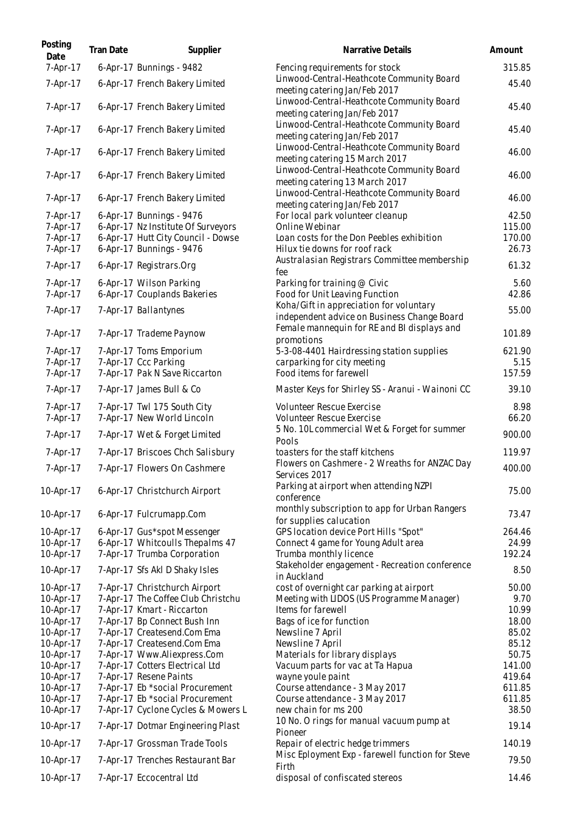| Posting<br>Date | Tran Date | Supplier                           | Narrative Details                                                                | Amount |
|-----------------|-----------|------------------------------------|----------------------------------------------------------------------------------|--------|
| 7-Apr-17        |           | 6-Apr-17 Bunnings - 9482           | Fencing requirements for stock                                                   | 315.85 |
| 7-Apr-17        |           | 6-Apr-17 French Bakery Limited     | Linwood-Central-Heathcote Community Board<br>meeting catering Jan/Feb 2017       | 45.40  |
| 7-Apr-17        |           | 6-Apr-17 French Bakery Limited     | Linwood-Central-Heathcote Community Board<br>meeting catering Jan/Feb 2017       | 45.40  |
| 7-Apr-17        |           | 6-Apr-17 French Bakery Limited     | Linwood-Central-Heathcote Community Board<br>meeting catering Jan/Feb 2017       | 45.40  |
| 7-Apr-17        |           | 6-Apr-17 French Bakery Limited     | Linwood-Central-Heathcote Community Board<br>meeting catering 15 March 2017      | 46.00  |
| 7-Apr-17        |           | 6-Apr-17 French Bakery Limited     | Linwood-Central-Heathcote Community Board<br>meeting catering 13 March 2017      | 46.00  |
| 7-Apr-17        |           | 6-Apr-17 French Bakery Limited     | Linwood-Central-Heathcote Community Board                                        | 46.00  |
| 7-Apr-17        |           | 6-Apr-17 Bunnings - 9476           | meeting catering Jan/Feb 2017<br>For local park volunteer cleanup                | 42.50  |
| 7-Apr-17        |           | 6-Apr-17 Nz Institute Of Surveyors | Online Webinar                                                                   | 115.00 |
| 7-Apr-17        |           | 6-Apr-17 Hutt City Council - Dowse | Loan costs for the Don Peebles exhibition                                        | 170.00 |
| 7-Apr-17        |           | 6-Apr-17 Bunnings - 9476           | Hilux tie downs for roof rack                                                    | 26.73  |
| 7-Apr-17        |           | 6-Apr-17 Registrars.Org            | Australasian Registrars Committee membership<br>fee                              | 61.32  |
| 7-Apr-17        |           | 6-Apr-17 Wilson Parking            | Parking for training @ Civic                                                     | 5.60   |
| 7-Apr-17        |           | 6-Apr-17 Couplands Bakeries        | Food for Unit Leaving Function                                                   | 42.86  |
|                 |           |                                    | Koha/Gift in appreciation for voluntary                                          |        |
| 7-Apr-17        |           | 7-Apr-17 Ballantynes               | independent advice on Business Change Board                                      | 55.00  |
| 7-Apr-17        |           | 7-Apr-17 Trademe Paynow            | Female mannequin for RE and BI displays and<br>promotions                        | 101.89 |
| 7-Apr-17        |           | 7-Apr-17 Toms Emporium             | 5-3-08-4401 Hairdressing station supplies                                        | 621.90 |
| 7-Apr-17        |           | 7-Apr-17 Ccc Parking               | carparking for city meeting                                                      | 5.15   |
| 7-Apr-17        |           | 7-Apr-17 Pak N Save Riccarton      | Food items for farewell                                                          | 157.59 |
| 7-Apr-17        |           | 7-Apr-17 James Bull & Co           | Master Keys for Shirley SS - Aranui - Wainoni CC                                 | 39.10  |
| 7-Apr-17        |           | 7-Apr-17 Twl 175 South City        | Volunteer Rescue Exercise                                                        | 8.98   |
| 7-Apr-17        |           | 7-Apr-17 New World Lincoln         | Volunteer Rescue Exercise<br>5 No. 10L commercial Wet & Forget for summer        | 66.20  |
| 7-Apr-17        |           | 7-Apr-17 Wet & Forget Limited      | Pools                                                                            | 900.00 |
| 7-Apr-17        |           | 7-Apr-17 Briscoes Chch Salisbury   | toasters for the staff kitchens<br>Flowers on Cashmere - 2 Wreaths for ANZAC Day | 119.97 |
| 7-Apr-17        |           | 7-Apr-17 Flowers On Cashmere       | Services 2017                                                                    | 400.00 |
| 10-Apr-17       |           | 6-Apr-17 Christchurch Airport      | Parking at airport when attending NZPI<br>conference                             | 75.00  |
| 10-Apr-17       |           | 6-Apr-17 Fulcrumapp.Com            | monthly subscription to app for Urban Rangers<br>for supplies calucation         | 73.47  |
| 10-Apr-17       |           | 6-Apr-17 Gus*spot Messenger        | GPS location device Port Hills "Spot"                                            | 264.46 |
| 10-Apr-17       |           | 6-Apr-17 Whitcoulls Thepalms 47    | Connect 4 game for Young Adult area                                              | 24.99  |
| 10-Apr-17       |           | 7-Apr-17 Trumba Corporation        | Trumba monthly licence                                                           | 192.24 |
| 10-Apr-17       |           | 7-Apr-17 Sfs Akl D Shaky Isles     | Stakeholder engagement - Recreation conference<br>in Auckland                    | 8.50   |
| 10-Apr-17       |           | 7-Apr-17 Christchurch Airport      | cost of overnight car parking at airport                                         | 50.00  |
| 10-Apr-17       |           | 7-Apr-17 The Coffee Club Christchu | Meeting with LIDOS (US Programme Manager)                                        | 9.70   |
| 10-Apr-17       |           | 7-Apr-17 Kmart - Riccarton         | Items for farewell                                                               | 10.99  |
| 10-Apr-17       |           | 7-Apr-17 Bp Connect Bush Inn       | Bags of ice for function                                                         | 18.00  |
| 10-Apr-17       |           | 7-Apr-17 Createsend.Com Ema        | Newsline 7 April                                                                 | 85.02  |
| 10-Apr-17       |           | 7-Apr-17 Createsend.Com Ema        | Newsline 7 April                                                                 | 85.12  |
| 10-Apr-17       |           | 7-Apr-17 Www.Aliexpress.Com        | Materials for library displays                                                   | 50.75  |
| 10-Apr-17       |           | 7-Apr-17 Cotters Electrical Ltd    | Vacuum parts for vac at Ta Hapua                                                 | 141.00 |
| 10-Apr-17       |           | 7-Apr-17 Resene Paints             | wayne youle paint                                                                | 419.64 |
| 10-Apr-17       |           | 7-Apr-17 Eb *social Procurement    | Course attendance - 3 May 2017                                                   | 611.85 |
| 10-Apr-17       |           | 7-Apr-17 Eb *social Procurement    | Course attendance - 3 May 2017                                                   | 611.85 |
| 10-Apr-17       |           | 7-Apr-17 Cyclone Cycles & Mowers L | new chain for ms 200                                                             | 38.50  |
| 10-Apr-17       |           | 7-Apr-17 Dotmar Engineering Plast  | 10 No. O rings for manual vacuum pump at<br>Pioneer                              | 19.14  |
| 10-Apr-17       |           | 7-Apr-17 Grossman Trade Tools      | Repair of electric hedge trimmers                                                | 140.19 |
| 10-Apr-17       |           | 7-Apr-17 Trenches Restaurant Bar   | Misc Eployment Exp - farewell function for Steve<br>Firth                        | 79.50  |
| 10-Apr-17       |           | 7-Apr-17 Eccocentral Ltd           | disposal of confiscated stereos                                                  | 14.46  |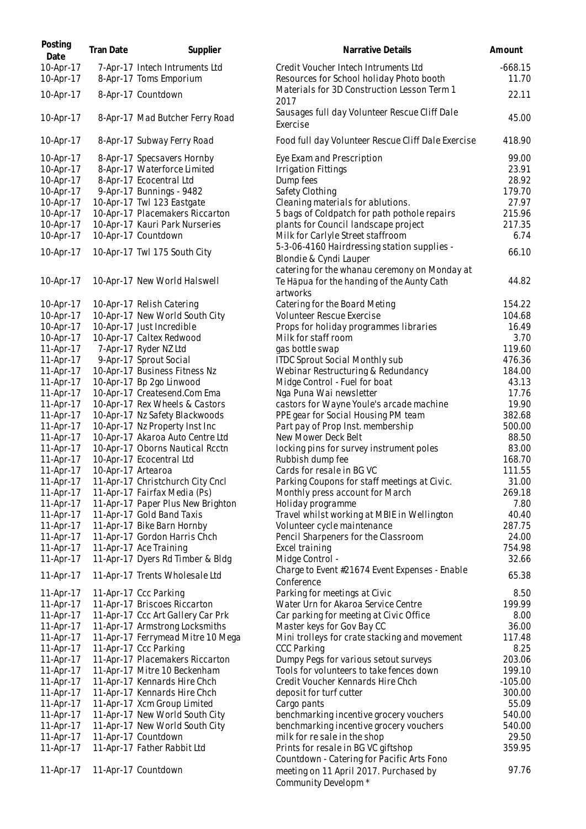| Posting<br>Date        | Tran Date          | Supplier                                                 | Narrative Details                                                                                            | Amount             |
|------------------------|--------------------|----------------------------------------------------------|--------------------------------------------------------------------------------------------------------------|--------------------|
| 10-Apr-17<br>10-Apr-17 |                    | 7-Apr-17 Intech Intruments Ltd<br>8-Apr-17 Toms Emporium | Credit Voucher Intech Intruments Ltd<br>Resources for School holiday Photo booth                             | $-668.15$<br>11.70 |
| 10-Apr-17              |                    | 8-Apr-17 Countdown                                       | Materials for 3D Construction Lesson Term 1<br>2017                                                          | 22.11              |
| 10-Apr-17              |                    | 8-Apr-17 Mad Butcher Ferry Road                          | Sausages full day Volunteer Rescue Cliff Dale<br>Exercise                                                    | 45.00              |
| 10-Apr-17              |                    | 8-Apr-17 Subway Ferry Road                               | Food full day Volunteer Rescue Cliff Dale Exercise                                                           | 418.90             |
| 10-Apr-17              |                    | 8-Apr-17 Specsavers Hornby                               | Eye Exam and Prescription                                                                                    | 99.00              |
| 10-Apr-17              |                    | 8-Apr-17 Waterforce Limited                              | <b>Irrigation Fittings</b>                                                                                   | 23.91              |
| 10-Apr-17              |                    | 8-Apr-17 Ecocentral Ltd                                  | Dump fees                                                                                                    | 28.92              |
| 10-Apr-17              |                    | 9-Apr-17 Bunnings - 9482                                 | Safety Clothing                                                                                              | 179.70             |
| 10-Apr-17              |                    | 10-Apr-17 Twl 123 Eastgate                               | Cleaning materials for ablutions.                                                                            | 27.97              |
| 10-Apr-17              |                    | 10-Apr-17 Placemakers Riccarton                          | 5 bags of Coldpatch for path pothole repairs                                                                 | 215.96             |
| 10-Apr-17              |                    | 10-Apr-17 Kauri Park Nurseries                           | plants for Council landscape project                                                                         | 217.35             |
| 10-Apr-17              |                    | 10-Apr-17 Countdown                                      | Milk for Carlyle Street staffroom                                                                            | 6.74               |
| 10-Apr-17              |                    | 10-Apr-17 Twl 175 South City                             | 5-3-06-4160 Hairdressing station supplies -<br>Blondie & Cyndi Lauper                                        | 66.10              |
| 10-Apr-17              |                    | 10-Apr-17 New World Halswell                             | catering for the whanau ceremony on Monday at<br>Te Hāpua for the handing of the Aunty Cath                  | 44.82              |
|                        |                    |                                                          | artworks                                                                                                     |                    |
| 10-Apr-17              |                    | 10-Apr-17 Relish Catering                                | Catering for the Board Meting                                                                                | 154.22             |
| 10-Apr-17              |                    | 10-Apr-17 New World South City                           | Volunteer Rescue Exercise                                                                                    | 104.68             |
| 10-Apr-17              |                    | 10-Apr-17 Just Incredible                                | Props for holiday programmes libraries                                                                       | 16.49              |
| 10-Apr-17              |                    | 10-Apr-17 Caltex Redwood                                 | Milk for staff room                                                                                          | 3.70               |
| 11-Apr-17              |                    | 7-Apr-17 Ryder NZ Ltd                                    | gas bottle swap                                                                                              | 119.60             |
| 11-Apr-17              |                    | 9-Apr-17 Sprout Social                                   | <b>ITDC Sprout Social Monthly sub</b>                                                                        | 476.36             |
| 11-Apr-17              |                    | 10-Apr-17 Business Fitness Nz                            | Webinar Restructuring & Redundancy                                                                           | 184.00             |
| 11-Apr-17              |                    | 10-Apr-17 Bp 2go Linwood                                 | Midge Control - Fuel for boat                                                                                | 43.13              |
| 11-Apr-17              |                    | 10-Apr-17 Createsend.Com Ema                             | Nga Puna Wai newsletter                                                                                      | 17.76              |
| 11-Apr-17              |                    | 10-Apr-17 Rex Wheels & Castors                           | castors for Wayne Youle's arcade machine                                                                     | 19.90              |
| 11-Apr-17              |                    | 10-Apr-17 Nz Safety Blackwoods                           | PPE gear for Social Housing PM team                                                                          | 382.68             |
| 11-Apr-17              |                    | 10-Apr-17 Nz Property Inst Inc                           | Part pay of Prop Inst. membership                                                                            | 500.00             |
| 11-Apr-17              |                    | 10-Apr-17 Akaroa Auto Centre Ltd                         | New Mower Deck Belt                                                                                          | 88.50              |
| 11-Apr-17              |                    | 10-Apr-17 Oborns Nautical Rcctn                          | locking pins for survey instrument poles                                                                     | 83.00              |
| 11-Apr-17              |                    | 10-Apr-17 Ecocentral Ltd                                 | Rubbish dump fee<br>Cards for resale in BG VC                                                                | 168.70             |
| 11-Apr-17              | 10-Apr-17 Artearoa | 11-Apr-17 Christchurch City Cncl                         |                                                                                                              | 111.55<br>31.00    |
| 11-Apr-17<br>11-Apr-17 |                    | 11-Apr-17 Fairfax Media (Ps)                             | Parking Coupons for staff meetings at Civic.                                                                 | 269.18             |
| 11-Apr-17              |                    | 11-Apr-17 Paper Plus New Brighton                        | Monthly press account for March<br>Holiday programme                                                         | 7.80               |
| 11-Apr-17              |                    | 11-Apr-17 Gold Band Taxis                                | Travel whilst working at MBIE in Wellington                                                                  | 40.40              |
| 11-Apr-17              |                    | 11-Apr-17 Bike Barn Hornby                               | Volunteer cycle maintenance                                                                                  | 287.75             |
| 11-Apr-17              |                    | 11-Apr-17 Gordon Harris Chch                             | Pencil Sharpeners for the Classroom                                                                          | 24.00              |
| 11-Apr-17              |                    | 11-Apr-17 Ace Training                                   | Excel training                                                                                               | 754.98             |
| 11-Apr-17              |                    | 11-Apr-17 Dyers Rd Timber & Bldg                         | Midge Control -                                                                                              | 32.66              |
|                        |                    |                                                          | Charge to Event #21674 Event Expenses - Enable                                                               |                    |
| 11-Apr-17              |                    | 11-Apr-17 Trents Wholesale Ltd                           | Conference                                                                                                   | 65.38              |
| 11-Apr-17              |                    | 11-Apr-17 Ccc Parking                                    | Parking for meetings at Civic                                                                                | 8.50               |
| 11-Apr-17              |                    | 11-Apr-17 Briscoes Riccarton                             | Water Urn for Akaroa Service Centre                                                                          | 199.99             |
| 11-Apr-17              |                    | 11-Apr-17 Ccc Art Gallery Car Prk                        | Car parking for meeting at Civic Office                                                                      | 8.00               |
| 11-Apr-17              |                    | 11-Apr-17 Armstrong Locksmiths                           | Master keys for Gov Bay CC                                                                                   | 36.00              |
| 11-Apr-17              |                    | 11-Apr-17 Ferrymead Mitre 10 Mega                        | Mini trolleys for crate stacking and movement                                                                | 117.48             |
| 11-Apr-17              |                    | 11-Apr-17 Ccc Parking                                    | <b>CCC Parking</b>                                                                                           | 8.25               |
| 11-Apr-17              |                    | 11-Apr-17 Placemakers Riccarton                          | Dumpy Pegs for various setout surveys                                                                        | 203.06             |
| 11-Apr-17              |                    | 11-Apr-17 Mitre 10 Beckenham                             | Tools for volunteers to take fences down                                                                     | 199.10             |
| 11-Apr-17              |                    | 11-Apr-17 Kennards Hire Chch                             | Credit Voucher Kennards Hire Chch                                                                            | $-105.00$          |
| 11-Apr-17              |                    | 11-Apr-17 Kennards Hire Chch                             | deposit for turf cutter                                                                                      | 300.00             |
| 11-Apr-17              |                    | 11-Apr-17 Xcm Group Limited                              | Cargo pants                                                                                                  | 55.09              |
| 11-Apr-17              |                    | 11-Apr-17 New World South City                           | benchmarking incentive grocery vouchers                                                                      | 540.00             |
| 11-Apr-17              |                    | 11-Apr-17 New World South City                           | benchmarking incentive grocery vouchers                                                                      | 540.00             |
| 11-Apr-17              |                    | 11-Apr-17 Countdown                                      | milk for resale in the shop                                                                                  | 29.50              |
| 11-Apr-17              |                    | 11-Apr-17 Father Rabbit Ltd                              | Prints for resale in BG VC giftshop                                                                          | 359.95             |
| 11-Apr-17              |                    | 11-Apr-17 Countdown                                      | Countdown - Catering for Pacific Arts Fono<br>meeting on 11 April 2017. Purchased by<br>Community Developm * | 97.76              |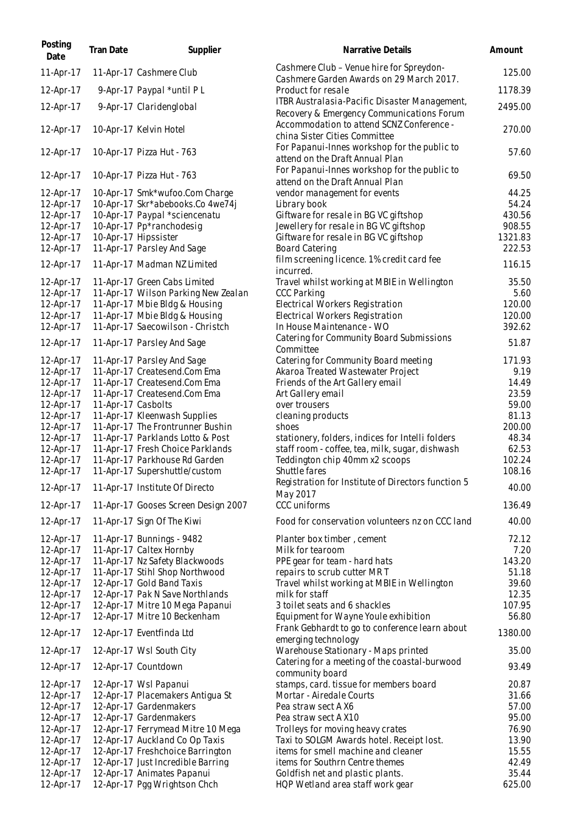| Posting<br>Date        | Tran Date          | Supplier                                                              | Narrative Details                                                                          | Amount            |
|------------------------|--------------------|-----------------------------------------------------------------------|--------------------------------------------------------------------------------------------|-------------------|
| 11-Apr-17              |                    | 11-Apr-17 Cashmere Club                                               | Cashmere Club - Venue hire for Spreydon-<br>Cashmere Garden Awards on 29 March 2017.       | 125.00            |
| 12-Apr-17              |                    | 9-Apr-17 Paypal *until PL                                             | Product for resale                                                                         | 1178.39           |
| 12-Apr-17              |                    | 9-Apr-17 Claridenglobal                                               | ITBR Australasia-Pacific Disaster Management,<br>Recovery & Emergency Communications Forum | 2495.00           |
| 12-Apr-17              |                    | 10-Apr-17 Kelvin Hotel                                                | Accommodation to attend SCNZ Conference -<br>china Sister Cities Committee                 | 270.00            |
| 12-Apr-17              |                    | 10-Apr-17 Pizza Hut - 763                                             | For Papanui-Innes workshop for the public to<br>attend on the Draft Annual Plan            | 57.60             |
| 12-Apr-17              |                    | 10-Apr-17 Pizza Hut - 763                                             | For Papanui-Innes workshop for the public to<br>attend on the Draft Annual Plan            | 69.50             |
| 12-Apr-17              |                    | 10-Apr-17 Smk*wufoo.Com Charge                                        | vendor management for events                                                               | 44.25             |
| 12-Apr-17              |                    | 10-Apr-17 Skr*abebooks.Co 4we74j                                      | Library book                                                                               | 54.24             |
| 12-Apr-17              |                    | 10-Apr-17 Paypal *sciencenatu                                         | Giftware for resale in BG VC giftshop                                                      | 430.56            |
| 12-Apr-17              |                    | 10-Apr-17 Pp*ranchodesig                                              | Jewellery for resale in BG VC giftshop                                                     | 908.55<br>1321.83 |
| 12-Apr-17<br>12-Apr-17 |                    | 10-Apr-17 Hipssister<br>11-Apr-17 Parsley And Sage                    | Giftware for resale in BG VC giftshop<br><b>Board Catering</b>                             | 222.53            |
| 12-Apr-17              |                    | 11-Apr-17 Madman NZ Limited                                           | film screening licence. 1% credit card fee<br>incurred.                                    | 116.15            |
| 12-Apr-17              |                    | 11-Apr-17 Green Cabs Limited                                          | Travel whilst working at MBIE in Wellington                                                | 35.50             |
| 12-Apr-17              |                    | 11-Apr-17 Wilson Parking New Zealan                                   | <b>CCC Parking</b>                                                                         | 5.60              |
| 12-Apr-17              |                    | 11-Apr-17 Mbie Bldg & Housing                                         | Electrical Workers Registration                                                            | 120.00            |
| 12-Apr-17              |                    | 11-Apr-17 Mbie Bldg & Housing                                         | Electrical Workers Registration                                                            | 120.00            |
| 12-Apr-17              |                    | 11-Apr-17 Saecowilson - Christch                                      | In House Maintenance - WO                                                                  | 392.62            |
| 12-Apr-17              |                    | 11-Apr-17 Parsley And Sage                                            | Catering for Community Board Submissions<br>Committee                                      | 51.87             |
| 12-Apr-17              |                    | 11-Apr-17 Parsley And Sage                                            | Catering for Community Board meeting                                                       | 171.93            |
| 12-Apr-17              |                    | 11-Apr-17 Createsend.Com Ema                                          | Akaroa Treated Wastewater Project                                                          | 9.19              |
| 12-Apr-17              |                    | 11-Apr-17 Createsend.Com Ema                                          | Friends of the Art Gallery email                                                           | 14.49             |
| 12-Apr-17              |                    | 11-Apr-17 Createsend.Com Ema                                          | Art Gallery email                                                                          | 23.59             |
| 12-Apr-17              | 11-Apr-17 Casbolts |                                                                       | over trousers                                                                              | 59.00             |
| 12-Apr-17              |                    | 11-Apr-17 Kleenwash Supplies                                          | cleaning products                                                                          | 81.13             |
| 12-Apr-17              |                    | 11-Apr-17 The Frontrunner Bushin                                      | shoes                                                                                      | 200.00            |
| 12-Apr-17              |                    | 11-Apr-17 Parklands Lotto & Post                                      | stationery, folders, indices for Intelli folders                                           | 48.34             |
| 12-Apr-17              |                    | 11-Apr-17 Fresh Choice Parklands                                      | staff room - coffee, tea, milk, sugar, dishwash                                            | 62.53             |
| 12-Apr-17              |                    | 11-Apr-17 Parkhouse Rd Garden                                         | Teddington chip 40mm x2 scoops                                                             | 102.24            |
| 12-Apr-17              |                    | 11-Apr-17 Supershuttle/custom                                         | Shuttle fares                                                                              | 108.16            |
| 12-Apr-17              |                    | 11-Apr-17 Institute Of Directo                                        | Registration for Institute of Directors function 5<br>May 2017                             | 40.00             |
| 12-Apr-17              |                    | 11-Apr-17 Gooses Screen Design 2007                                   | <b>CCC</b> uniforms                                                                        | 136.49            |
| 12-Apr-17              |                    | 11-Apr-17 Sign Of The Kiwi                                            | Food for conservation volunteers nz on CCC land                                            | 40.00             |
| 12-Apr-17              |                    | 11-Apr-17 Bunnings - 9482                                             | Planter box timber, cement                                                                 | 72.12             |
| 12-Apr-17              |                    | 11-Apr-17 Caltex Hornby                                               | Milk for tearoom                                                                           | 7.20              |
| 12-Apr-17              |                    | 11-Apr-17 Nz Safety Blackwoods                                        | PPE gear for team - hard hats                                                              | 143.20            |
| 12-Apr-17              |                    | 11-Apr-17 Stihl Shop Northwood                                        | repairs to scrub cutter MRT                                                                | 51.18             |
| 12-Apr-17              |                    | 12-Apr-17 Gold Band Taxis                                             | Travel whilst working at MBIE in Wellington                                                | 39.60             |
| 12-Apr-17              |                    | 12-Apr-17 Pak N Save Northlands                                       | milk for staff                                                                             | 12.35             |
| 12-Apr-17<br>12-Apr-17 |                    | 12-Apr-17 Mitre 10 Mega Papanui<br>12-Apr-17 Mitre 10 Beckenham       | 3 toilet seats and 6 shackles<br>Equipment for Wayne Youle exhibition                      | 107.95<br>56.80   |
| 12-Apr-17              |                    | 12-Apr-17 Eventfinda Ltd                                              | Frank Gebhardt to go to conference learn about<br>emerging technology                      | 1380.00           |
| 12-Apr-17<br>12-Apr-17 |                    | 12-Apr-17 Wsl South City<br>12-Apr-17 Countdown                       | Warehouse Stationary - Maps printed<br>Catering for a meeting of the coastal-burwood       | 35.00<br>93.49    |
|                        |                    |                                                                       | community board                                                                            |                   |
| 12-Apr-17              |                    | 12-Apr-17 Wsl Papanui                                                 | stamps, card. tissue for members board                                                     | 20.87             |
| 12-Apr-17              |                    | 12-Apr-17 Placemakers Antigua St                                      | Mortar - Airedale Courts                                                                   | 31.66             |
| 12-Apr-17              |                    | 12-Apr-17 Gardenmakers                                                | Pea straw sect A X6                                                                        | 57.00             |
| 12-Apr-17              |                    | 12-Apr-17 Gardenmakers                                                | Pea straw sect A X10                                                                       | 95.00             |
| 12-Apr-17              |                    | 12-Apr-17 Ferrymead Mitre 10 Mega                                     | Trolleys for moving heavy crates                                                           | 76.90             |
| 12-Apr-17              |                    | 12-Apr-17 Auckland Co Op Taxis                                        | Taxi to SOLGM Awards hotel. Receipt lost.                                                  | 13.90<br>15.55    |
| 12-Apr-17<br>12-Apr-17 |                    | 12-Apr-17 Freshchoice Barrington<br>12-Apr-17 Just Incredible Barring | items for smell machine and cleaner<br>items for Southrn Centre themes                     | 42.49             |
| 12-Apr-17              |                    | 12-Apr-17 Animates Papanui                                            | Goldfish net and plastic plants.                                                           | 35.44             |
| 12-Apr-17              |                    | 12-Apr-17 Pgg Wrightson Chch                                          | HQP Wetland area staff work gear                                                           | 625.00            |
|                        |                    |                                                                       |                                                                                            |                   |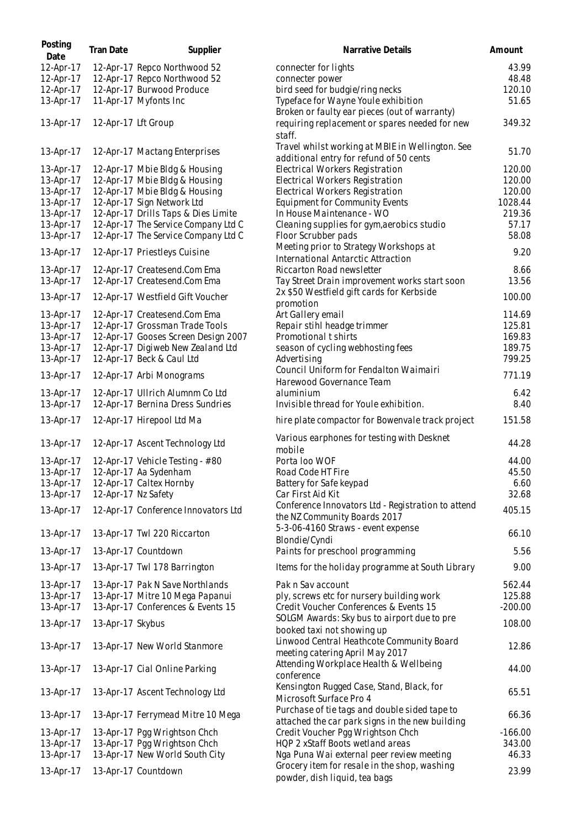| Posting<br>Date        | Tran Date           | Supplier                                                         | Narrative Details                                                                           | Amount              |
|------------------------|---------------------|------------------------------------------------------------------|---------------------------------------------------------------------------------------------|---------------------|
| 12-Apr-17              |                     | 12-Apr-17 Repco Northwood 52                                     | connecter for lights                                                                        | 43.99               |
| 12-Apr-17              |                     | 12-Apr-17 Repco Northwood 52                                     | connecter power                                                                             | 48.48               |
| 12-Apr-17              |                     | 12-Apr-17 Burwood Produce                                        | bird seed for budgie/ring necks                                                             | 120.10              |
| 13-Apr-17              |                     | 11-Apr-17 Myfonts Inc                                            | Typeface for Wayne Youle exhibition<br>Broken or faulty ear pieces (out of warranty)        | 51.65               |
| 13-Apr-17              | 12-Apr-17 Lft Group |                                                                  | requiring replacement or spares needed for new<br>staff.                                    | 349.32              |
| 13-Apr-17              |                     | 12-Apr-17 Mactang Enterprises                                    | Travel whilst working at MBIE in Wellington. See<br>additional entry for refund of 50 cents | 51.70               |
| 13-Apr-17              |                     | 12-Apr-17 Mbie Bldg & Housing                                    | Electrical Workers Registration                                                             | 120.00              |
| 13-Apr-17              |                     | 12-Apr-17 Mbie Bldg & Housing                                    | Electrical Workers Registration                                                             | 120.00              |
| 13-Apr-17              |                     | 12-Apr-17 Mbie Bldg & Housing                                    | Electrical Workers Registration                                                             | 120.00              |
| 13-Apr-17              |                     | 12-Apr-17 Sign Network Ltd                                       | Equipment for Community Events                                                              | 1028.44             |
| 13-Apr-17              |                     | 12-Apr-17 Drills Taps & Dies Limite                              | In House Maintenance - WO                                                                   | 219.36              |
| 13-Apr-17              |                     | 12-Apr-17 The Service Company Ltd C                              | Cleaning supplies for gym, aerobics studio                                                  | 57.17               |
| 13-Apr-17              |                     | 12-Apr-17 The Service Company Ltd C                              | Floor Scrubber pads                                                                         | 58.08               |
| 13-Apr-17              |                     | 12-Apr-17 Priestleys Cuisine                                     | Meeting prior to Strategy Workshops at<br>International Antarctic Attraction                | 9.20                |
| 13-Apr-17              |                     | 12-Apr-17 Createsend.Com Ema                                     | Riccarton Road newsletter                                                                   | 8.66                |
| 13-Apr-17              |                     | 12-Apr-17 Createsend.Com Ema                                     | Tay Street Drain improvement works start soon                                               | 13.56               |
|                        |                     |                                                                  | 2x \$50 Westfield gift cards for Kerbside                                                   |                     |
| 13-Apr-17<br>13-Apr-17 |                     | 12-Apr-17 Westfield Gift Voucher<br>12-Apr-17 Createsend.Com Ema | promotion<br>Art Gallery email                                                              | 100.00<br>114.69    |
| 13-Apr-17              |                     | 12-Apr-17 Grossman Trade Tools                                   | Repair stihl headge trimmer                                                                 | 125.81              |
| 13-Apr-17              |                     | 12-Apr-17 Gooses Screen Design 2007                              | Promotional t shirts                                                                        | 169.83              |
| 13-Apr-17              |                     | 12-Apr-17 Digiweb New Zealand Ltd                                | season of cycling webhosting fees                                                           | 189.75              |
| 13-Apr-17              |                     | 12-Apr-17 Beck & Caul Ltd                                        | Advertising                                                                                 | 799.25              |
| 13-Apr-17              |                     | 12-Apr-17 Arbi Monograms                                         | Council Uniform for Fendalton Waimairi<br>Harewood Governance Team                          | 771.19              |
| 13-Apr-17              |                     | 12-Apr-17 Ullrich Alumnm Co Ltd                                  | aluminium                                                                                   | 6.42                |
| 13-Apr-17              |                     | 12-Apr-17 Bernina Dress Sundries                                 | Invisible thread for Youle exhibition.                                                      | 8.40                |
| 13-Apr-17              |                     | 12-Apr-17 Hirepool Ltd Ma                                        | hire plate compactor for Bowenvale track project                                            | 151.58              |
| 13-Apr-17              |                     | 12-Apr-17 Ascent Technology Ltd                                  | Various earphones for testing with Desknet<br>mobile                                        | 44.28               |
| 13-Apr-17              |                     | 12-Apr-17 Vehicle Testing - #80                                  | Porta Ioo WOF                                                                               | 44.00               |
| 13-Apr-17              |                     | 12-Apr-17 Aa Sydenham                                            | Road Code HT Fire                                                                           | 45.50               |
| 13-Apr-17              |                     | 12-Apr-17 Caltex Hornby                                          | Battery for Safe keypad                                                                     | 6.60                |
| 13-Apr-17              | 12-Apr-17 Nz Safety |                                                                  | Car First Aid Kit                                                                           | 32.68               |
|                        |                     |                                                                  | Conference Innovators Ltd - Registration to attend                                          |                     |
| 13-Apr-17              |                     | 12-Apr-17 Conference Innovators Ltd                              | the NZ Community Boards 2017                                                                | 405.15              |
| 13-Apr-17              |                     | 13-Apr-17 Twl 220 Riccarton                                      | 5-3-06-4160 Straws - event expense<br>Blondie/Cyndi                                         | 66.10               |
| 13-Apr-17              |                     | 13-Apr-17 Countdown                                              | Paints for preschool programming                                                            | 5.56                |
| 13-Apr-17              |                     | 13-Apr-17 Twl 178 Barrington                                     | Items for the holiday programme at South Library                                            | 9.00                |
| 13-Apr-17              |                     | 13-Apr-17 Pak N Save Northlands                                  | Pak n Sav account                                                                           | 562.44              |
| 13-Apr-17              |                     | 13-Apr-17 Mitre 10 Mega Papanui                                  | ply, screws etc for nursery building work                                                   | 125.88              |
| 13-Apr-17              |                     | 13-Apr-17 Conferences & Events 15                                | Credit Voucher Conferences & Events 15                                                      | $-200.00$           |
| 13-Apr-17              | 13-Apr-17 Skybus    |                                                                  | SOLGM Awards: Sky bus to airport due to pre<br>booked taxi not showing up                   | 108.00              |
| 13-Apr-17              |                     | 13-Apr-17 New World Stanmore                                     | Linwood Central Heathcote Community Board<br>meeting catering April May 2017                | 12.86               |
| 13-Apr-17              |                     | 13-Apr-17 Cial Online Parking                                    | Attending Workplace Health & Wellbeing<br>conference                                        | 44.00               |
| 13-Apr-17              |                     | 13-Apr-17 Ascent Technology Ltd                                  | Kensington Rugged Case, Stand, Black, for<br>Microsoft Surface Pro 4                        | 65.51               |
| 13-Apr-17              |                     | 13-Apr-17 Ferrymead Mitre 10 Mega                                | Purchase of tie tags and double sided tape to                                               | 66.36               |
|                        |                     |                                                                  | attached the car park signs in the new building                                             |                     |
| 13-Apr-17<br>13-Apr-17 |                     | 13-Apr-17 Pgg Wrightson Chch<br>13-Apr-17 Pgg Wrightson Chch     | Credit Voucher Pgg Wrightson Chch<br>HQP 2 xStaff Boots wetland areas                       | $-166.00$<br>343.00 |
| 13-Apr-17              |                     | 13-Apr-17 New World South City                                   | Nga Puna Wai external peer review meeting                                                   | 46.33               |
|                        |                     |                                                                  | Grocery item for resale in the shop, washing                                                |                     |
| 13-Apr-17              |                     | 13-Apr-17 Countdown                                              | powder, dish liquid, tea bags                                                               | 23.99               |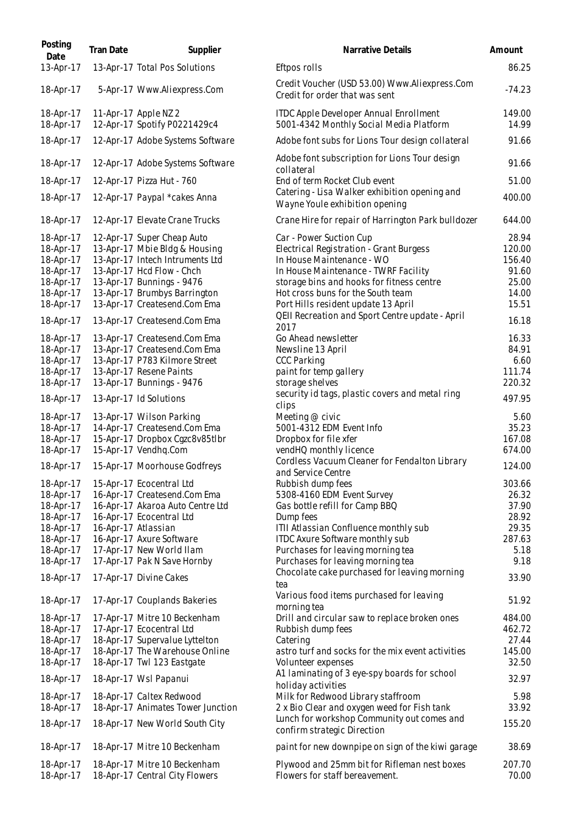| Posting<br>Date                                                                                                                                                                                                                                                               | Tran Date | Supplier                                                                                                                                                                                                                                                                                                                                                                                                                                                                                                                                                                                                                                                      | Narrative Details                                                                                                                                                                                                                                                                                                                                                                                                                                                                                                                                                                                                                                                                                                                  | Amount                                                                                                                                                                                           |
|-------------------------------------------------------------------------------------------------------------------------------------------------------------------------------------------------------------------------------------------------------------------------------|-----------|---------------------------------------------------------------------------------------------------------------------------------------------------------------------------------------------------------------------------------------------------------------------------------------------------------------------------------------------------------------------------------------------------------------------------------------------------------------------------------------------------------------------------------------------------------------------------------------------------------------------------------------------------------------|------------------------------------------------------------------------------------------------------------------------------------------------------------------------------------------------------------------------------------------------------------------------------------------------------------------------------------------------------------------------------------------------------------------------------------------------------------------------------------------------------------------------------------------------------------------------------------------------------------------------------------------------------------------------------------------------------------------------------------|--------------------------------------------------------------------------------------------------------------------------------------------------------------------------------------------------|
| 13-Apr-17                                                                                                                                                                                                                                                                     |           | 13-Apr-17 Total Pos Solutions                                                                                                                                                                                                                                                                                                                                                                                                                                                                                                                                                                                                                                 | Eftpos rolls                                                                                                                                                                                                                                                                                                                                                                                                                                                                                                                                                                                                                                                                                                                       | 86.25                                                                                                                                                                                            |
| 18-Apr-17                                                                                                                                                                                                                                                                     |           | 5-Apr-17 Www.Aliexpress.Com                                                                                                                                                                                                                                                                                                                                                                                                                                                                                                                                                                                                                                   | Credit Voucher (USD 53.00) Www.Aliexpress.Com<br>Credit for order that was sent                                                                                                                                                                                                                                                                                                                                                                                                                                                                                                                                                                                                                                                    | $-74.23$                                                                                                                                                                                         |
| 18-Apr-17<br>18-Apr-17                                                                                                                                                                                                                                                        |           | 11-Apr-17 Apple NZ 2<br>12-Apr-17 Spotify P0221429c4                                                                                                                                                                                                                                                                                                                                                                                                                                                                                                                                                                                                          | <b>ITDC Apple Developer Annual Enrollment</b><br>5001-4342 Monthly Social Media Platform                                                                                                                                                                                                                                                                                                                                                                                                                                                                                                                                                                                                                                           | 149.00<br>14.99                                                                                                                                                                                  |
| 18-Apr-17                                                                                                                                                                                                                                                                     |           | 12-Apr-17 Adobe Systems Software                                                                                                                                                                                                                                                                                                                                                                                                                                                                                                                                                                                                                              | Adobe font subs for Lions Tour design collateral                                                                                                                                                                                                                                                                                                                                                                                                                                                                                                                                                                                                                                                                                   | 91.66                                                                                                                                                                                            |
| 18-Apr-17                                                                                                                                                                                                                                                                     |           | 12-Apr-17 Adobe Systems Software                                                                                                                                                                                                                                                                                                                                                                                                                                                                                                                                                                                                                              | Adobe font subscription for Lions Tour design<br>collateral                                                                                                                                                                                                                                                                                                                                                                                                                                                                                                                                                                                                                                                                        | 91.66                                                                                                                                                                                            |
| 18-Apr-17                                                                                                                                                                                                                                                                     |           | 12-Apr-17 Pizza Hut - 760                                                                                                                                                                                                                                                                                                                                                                                                                                                                                                                                                                                                                                     | End of term Rocket Club event                                                                                                                                                                                                                                                                                                                                                                                                                                                                                                                                                                                                                                                                                                      | 51.00                                                                                                                                                                                            |
| 18-Apr-17                                                                                                                                                                                                                                                                     |           | 12-Apr-17 Paypal *cakes Anna                                                                                                                                                                                                                                                                                                                                                                                                                                                                                                                                                                                                                                  | Catering - Lisa Walker exhibition opening and<br>Wayne Youle exhibition opening                                                                                                                                                                                                                                                                                                                                                                                                                                                                                                                                                                                                                                                    | 400.00                                                                                                                                                                                           |
| 18-Apr-17                                                                                                                                                                                                                                                                     |           | 12-Apr-17 Elevate Crane Trucks                                                                                                                                                                                                                                                                                                                                                                                                                                                                                                                                                                                                                                | Crane Hire for repair of Harrington Park bulldozer                                                                                                                                                                                                                                                                                                                                                                                                                                                                                                                                                                                                                                                                                 | 644.00                                                                                                                                                                                           |
| 18-Apr-17<br>18-Apr-17<br>18-Apr-17<br>18-Apr-17<br>18-Apr-17<br>18-Apr-17<br>18-Apr-17<br>18-Apr-17<br>18-Apr-17<br>18-Apr-17<br>18-Apr-17<br>18-Apr-17<br>18-Apr-17<br>18-Apr-17<br>18-Apr-17<br>18-Apr-17<br>18-Apr-17<br>18-Apr-17<br>18-Apr-17<br>18-Apr-17<br>18-Apr-17 |           | 12-Apr-17 Super Cheap Auto<br>13-Apr-17 Mbie Bldg & Housing<br>13-Apr-17 Intech Intruments Ltd<br>13-Apr-17 Hcd Flow - Chch<br>13-Apr-17 Bunnings - 9476<br>13-Apr-17 Brumbys Barrington<br>13-Apr-17 Createsend.Com Ema<br>13-Apr-17 Createsend.Com Ema<br>13-Apr-17 Createsend.Com Ema<br>13-Apr-17 Createsend.Com Ema<br>13-Apr-17 P783 Kilmore Street<br>13-Apr-17 Resene Paints<br>13-Apr-17 Bunnings - 9476<br>13-Apr-17 Id Solutions<br>13-Apr-17 Wilson Parking<br>14-Apr-17 Createsend.Com Ema<br>15-Apr-17 Dropbox Cgzc8v85tlbr<br>15-Apr-17 Vendhq.Com<br>15-Apr-17 Moorhouse Godfreys<br>15-Apr-17 Ecocentral Ltd<br>16-Apr-17 Createsend.Com Ema | Car - Power Suction Cup<br>Electrical Registration - Grant Burgess<br>In House Maintenance - WO<br>In House Maintenance - TWRF Facility<br>storage bins and hooks for fitness centre<br>Hot cross buns for the South team<br>Port Hills resident update 13 April<br>QEII Recreation and Sport Centre update - April<br>2017<br>Go Ahead newsletter<br>Newsline 13 April<br><b>CCC Parking</b><br>paint for temp gallery<br>storage shelves<br>security id tags, plastic covers and metal ring<br>clips<br>Meeting @ civic<br>5001-4312 EDM Event Info<br>Dropbox for file xfer<br>vendHQ monthly licence<br>Cordless Vacuum Cleaner for Fendalton Library<br>and Service Centre<br>Rubbish dump fees<br>5308-4160 EDM Event Survey | 28.94<br>120.00<br>156.40<br>91.60<br>25.00<br>14.00<br>15.51<br>16.18<br>16.33<br>84.91<br>6.60<br>111.74<br>220.32<br>497.95<br>5.60<br>35.23<br>167.08<br>674.00<br>124.00<br>303.66<br>26.32 |
| 18-Apr-17                                                                                                                                                                                                                                                                     |           | 16-Apr-17 Akaroa Auto Centre Ltd                                                                                                                                                                                                                                                                                                                                                                                                                                                                                                                                                                                                                              | Gas bottle refill for Camp BBQ                                                                                                                                                                                                                                                                                                                                                                                                                                                                                                                                                                                                                                                                                                     | 37.90                                                                                                                                                                                            |
| 18-Apr-17                                                                                                                                                                                                                                                                     |           | 16-Apr-17 Ecocentral Ltd                                                                                                                                                                                                                                                                                                                                                                                                                                                                                                                                                                                                                                      | Dump fees                                                                                                                                                                                                                                                                                                                                                                                                                                                                                                                                                                                                                                                                                                                          | 28.92                                                                                                                                                                                            |
| 18-Apr-17<br>18-Apr-17                                                                                                                                                                                                                                                        |           | 16-Apr-17 Atlassian<br>16-Apr-17 Axure Software                                                                                                                                                                                                                                                                                                                                                                                                                                                                                                                                                                                                               | ITII Atlassian Confluence monthly sub<br>ITDC Axure Software monthly sub                                                                                                                                                                                                                                                                                                                                                                                                                                                                                                                                                                                                                                                           | 29.35<br>287.63                                                                                                                                                                                  |
| 18-Apr-17                                                                                                                                                                                                                                                                     |           | 17-Apr-17 New World Ilam                                                                                                                                                                                                                                                                                                                                                                                                                                                                                                                                                                                                                                      | Purchases for leaving morning tea                                                                                                                                                                                                                                                                                                                                                                                                                                                                                                                                                                                                                                                                                                  | 5.18                                                                                                                                                                                             |
| 18-Apr-17                                                                                                                                                                                                                                                                     |           | 17-Apr-17 Pak N Save Hornby                                                                                                                                                                                                                                                                                                                                                                                                                                                                                                                                                                                                                                   | Purchases for leaving morning tea                                                                                                                                                                                                                                                                                                                                                                                                                                                                                                                                                                                                                                                                                                  | 9.18                                                                                                                                                                                             |
| 18-Apr-17                                                                                                                                                                                                                                                                     |           | 17-Apr-17 Divine Cakes                                                                                                                                                                                                                                                                                                                                                                                                                                                                                                                                                                                                                                        | Chocolate cake purchased for leaving morning<br>tea                                                                                                                                                                                                                                                                                                                                                                                                                                                                                                                                                                                                                                                                                | 33.90                                                                                                                                                                                            |
| 18-Apr-17                                                                                                                                                                                                                                                                     |           | 17-Apr-17 Couplands Bakeries                                                                                                                                                                                                                                                                                                                                                                                                                                                                                                                                                                                                                                  | Various food items purchased for leaving<br>morning tea                                                                                                                                                                                                                                                                                                                                                                                                                                                                                                                                                                                                                                                                            | 51.92                                                                                                                                                                                            |
| 18-Apr-17<br>18-Apr-17<br>18-Apr-17<br>18-Apr-17<br>18-Apr-17                                                                                                                                                                                                                 |           | 17-Apr-17 Mitre 10 Beckenham<br>17-Apr-17 Ecocentral Ltd<br>18-Apr-17 Supervalue Lyttelton<br>18-Apr-17 The Warehouse Online<br>18-Apr-17 Twl 123 Eastgate                                                                                                                                                                                                                                                                                                                                                                                                                                                                                                    | Drill and circular saw to replace broken ones<br>Rubbish dump fees<br>Catering<br>astro turf and socks for the mix event activities<br>Volunteer expenses                                                                                                                                                                                                                                                                                                                                                                                                                                                                                                                                                                          | 484.00<br>462.72<br>27.44<br>145.00<br>32.50                                                                                                                                                     |
| 18-Apr-17                                                                                                                                                                                                                                                                     |           | 18-Apr-17 Wsl Papanui                                                                                                                                                                                                                                                                                                                                                                                                                                                                                                                                                                                                                                         | A1 laminating of 3 eye-spy boards for school                                                                                                                                                                                                                                                                                                                                                                                                                                                                                                                                                                                                                                                                                       | 32.97                                                                                                                                                                                            |
| 18-Apr-17                                                                                                                                                                                                                                                                     |           | 18-Apr-17 Caltex Redwood                                                                                                                                                                                                                                                                                                                                                                                                                                                                                                                                                                                                                                      | holiday activities<br>Milk for Redwood Library staffroom                                                                                                                                                                                                                                                                                                                                                                                                                                                                                                                                                                                                                                                                           | 5.98                                                                                                                                                                                             |
| 18-Apr-17                                                                                                                                                                                                                                                                     |           | 18-Apr-17 Animates Tower Junction                                                                                                                                                                                                                                                                                                                                                                                                                                                                                                                                                                                                                             | 2 x Bio Clear and oxygen weed for Fish tank<br>Lunch for workshop Community out comes and                                                                                                                                                                                                                                                                                                                                                                                                                                                                                                                                                                                                                                          | 33.92                                                                                                                                                                                            |
| 18-Apr-17                                                                                                                                                                                                                                                                     |           | 18-Apr-17 New World South City                                                                                                                                                                                                                                                                                                                                                                                                                                                                                                                                                                                                                                | confirm strategic Direction                                                                                                                                                                                                                                                                                                                                                                                                                                                                                                                                                                                                                                                                                                        | 155.20                                                                                                                                                                                           |
| 18-Apr-17                                                                                                                                                                                                                                                                     |           | 18-Apr-17 Mitre 10 Beckenham                                                                                                                                                                                                                                                                                                                                                                                                                                                                                                                                                                                                                                  | paint for new downpipe on sign of the kiwi garage                                                                                                                                                                                                                                                                                                                                                                                                                                                                                                                                                                                                                                                                                  | 38.69                                                                                                                                                                                            |
| 18-Apr-17<br>18-Apr-17                                                                                                                                                                                                                                                        |           | 18-Apr-17 Mitre 10 Beckenham<br>18-Apr-17 Central City Flowers                                                                                                                                                                                                                                                                                                                                                                                                                                                                                                                                                                                                | Plywood and 25mm bit for Rifleman nest boxes<br>Flowers for staff bereavement.                                                                                                                                                                                                                                                                                                                                                                                                                                                                                                                                                                                                                                                     | 207.70<br>70.00                                                                                                                                                                                  |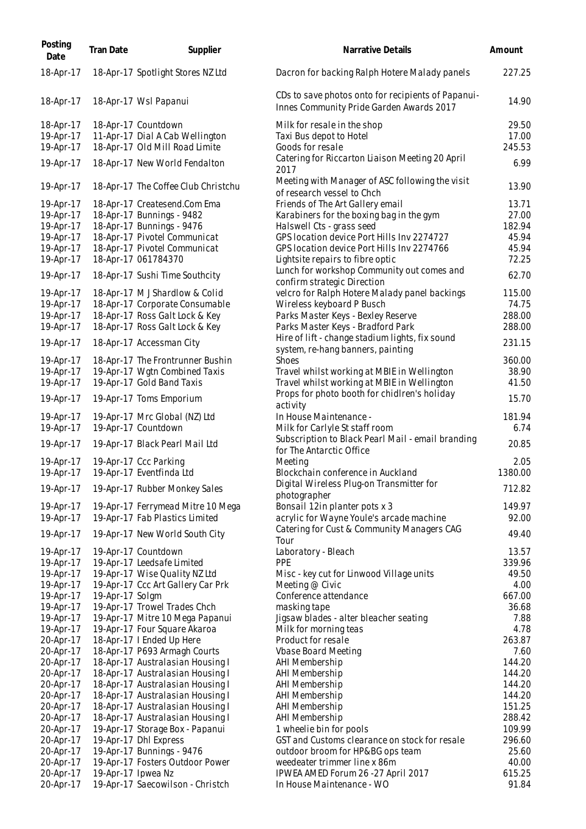| Posting<br>Date        | <b>Tran Date</b>   | Supplier                                                        | Narrative Details                                                                              | Amount          |
|------------------------|--------------------|-----------------------------------------------------------------|------------------------------------------------------------------------------------------------|-----------------|
| 18-Apr-17              |                    | 18-Apr-17 Spotlight Stores NZ Ltd                               | Dacron for backing Ralph Hotere Malady panels                                                  | 227.25          |
| 18-Apr-17              |                    | 18-Apr-17 Wsl Papanui                                           | CDs to save photos onto for recipients of Papanui-<br>Innes Community Pride Garden Awards 2017 | 14.90           |
| 18-Apr-17              |                    | 18-Apr-17 Countdown                                             | Milk for resale in the shop                                                                    | 29.50           |
| 19-Apr-17              |                    | 11-Apr-17 Dial A Cab Wellington                                 | Taxi Bus depot to Hotel                                                                        | 17.00           |
| 19-Apr-17              |                    | 18-Apr-17 Old Mill Road Limite                                  | Goods for resale                                                                               | 245.53          |
| 19-Apr-17              |                    | 18-Apr-17 New World Fendalton                                   | Catering for Riccarton Liaison Meeting 20 April<br>2017                                        | 6.99            |
| 19-Apr-17              |                    | 18-Apr-17 The Coffee Club Christchu                             | Meeting with Manager of ASC following the visit<br>of research vessel to Chch                  | 13.90           |
| 19-Apr-17              |                    | 18-Apr-17 Createsend.Com Ema                                    | Friends of The Art Gallery email                                                               | 13.71           |
| 19-Apr-17              |                    | 18-Apr-17 Bunnings - 9482                                       | Karabiners for the boxing bag in the gym                                                       | 27.00           |
| 19-Apr-17              |                    | 18-Apr-17 Bunnings - 9476                                       | Halswell Cts - grass seed                                                                      | 182.94          |
| 19-Apr-17              |                    | 18-Apr-17 Pivotel Communicat                                    | GPS location device Port Hills Inv 2274727                                                     | 45.94           |
| 19-Apr-17              |                    | 18-Apr-17 Pivotel Communicat                                    | GPS location device Port Hills Inv 2274766                                                     | 45.94           |
| 19-Apr-17              |                    | 18-Apr-17 061784370                                             | Lightsite repairs to fibre optic                                                               | 72.25           |
| 19-Apr-17              |                    | 18-Apr-17 Sushi Time Southcity                                  | Lunch for workshop Community out comes and<br>confirm strategic Direction                      | 62.70           |
| 19-Apr-17              |                    | 18-Apr-17 M J Shardlow & Colid                                  | velcro for Ralph Hotere Malady panel backings                                                  | 115.00          |
| 19-Apr-17              |                    | 18-Apr-17 Corporate Consumable                                  | Wireless keyboard P Busch                                                                      | 74.75           |
| 19-Apr-17              |                    | 18-Apr-17 Ross Galt Lock & Key                                  | Parks Master Keys - Bexley Reserve                                                             | 288.00          |
| 19-Apr-17              |                    | 18-Apr-17 Ross Galt Lock & Key                                  | Parks Master Keys - Bradford Park                                                              | 288.00          |
| 19-Apr-17              |                    | 18-Apr-17 Accessman City                                        | Hire of lift - change stadium lights, fix sound<br>system, re-hang banners, painting           | 231.15          |
| 19-Apr-17              |                    | 18-Apr-17 The Frontrunner Bushin                                | <b>Shoes</b>                                                                                   | 360.00          |
| 19-Apr-17              |                    | 19-Apr-17 Wgtn Combined Taxis                                   | Travel whilst working at MBIE in Wellington                                                    | 38.90           |
| 19-Apr-17              |                    | 19-Apr-17 Gold Band Taxis                                       | Travel whilst working at MBIE in Wellington                                                    | 41.50           |
| 19-Apr-17              |                    | 19-Apr-17 Toms Emporium                                         | Props for photo booth for chidIren's holiday<br>activity                                       | 15.70           |
| 19-Apr-17              |                    | 19-Apr-17 Mrc Global (NZ) Ltd                                   | In House Maintenance -                                                                         | 181.94          |
| 19-Apr-17              |                    | 19-Apr-17 Countdown                                             | Milk for Carlyle St staff room                                                                 | 6.74            |
| 19-Apr-17              |                    | 19-Apr-17 Black Pearl Mail Ltd                                  | Subscription to Black Pearl Mail - email branding<br>for The Antarctic Office                  | 20.85           |
| 19-Apr-17              |                    | 19-Apr-17 Ccc Parking                                           | Meeting                                                                                        | 2.05            |
| 19-Apr-17              |                    | 19-Apr-17 Eventfinda Ltd                                        | Blockchain conference in Auckland                                                              | 1380.00         |
| 19-Apr-17              |                    | 19-Apr-17 Rubber Monkey Sales                                   | Digital Wireless Plug-on Transmitter for<br>photographer                                       | 712.82          |
| 19-Apr-17              |                    | 19-Apr-17 Ferrymead Mitre 10 Mega                               | Bonsail 12in planter pots x 3                                                                  | 149.97          |
| 19-Apr-17              |                    | 19-Apr-17 Fab Plastics Limited                                  | acrylic for Wayne Youle's arcade machine                                                       | 92.00           |
| 19-Apr-17              |                    | 19-Apr-17 New World South City                                  | Catering for Cust & Community Managers CAG<br>Tour                                             | 49.40           |
| 19-Apr-17              |                    | 19-Apr-17 Countdown                                             | Laboratory - Bleach                                                                            | 13.57           |
| 19-Apr-17              |                    | 19-Apr-17 Leedsafe Limited                                      | <b>PPE</b>                                                                                     | 339.96          |
| 19-Apr-17              |                    | 19-Apr-17 Wise Quality NZ Ltd                                   | Misc - key cut for Linwood Village units                                                       | 49.50           |
| 19-Apr-17              |                    | 19-Apr-17 Ccc Art Gallery Car Prk                               | Meeting @ Civic                                                                                | 4.00            |
| 19-Apr-17              | 19-Apr-17 Solgm    |                                                                 | Conference attendance                                                                          | 667.00          |
| 19-Apr-17              |                    | 19-Apr-17 Trowel Trades Chch                                    | masking tape                                                                                   | 36.68           |
| 19-Apr-17<br>19-Apr-17 |                    | 19-Apr-17 Mitre 10 Mega Papanui<br>19-Apr-17 Four Square Akaroa | Jigsaw blades - alter bleacher seating<br>Milk for morning teas                                | 7.88<br>4.78    |
| 20-Apr-17              |                    | 18-Apr-17 I Ended Up Here                                       | Product for resale                                                                             | 263.87          |
| 20-Apr-17              |                    | 18-Apr-17 P693 Armagh Courts                                    | <b>Vbase Board Meeting</b>                                                                     | 7.60            |
| 20-Apr-17              |                    | 18-Apr-17 Australasian Housing I                                | AHI Membership                                                                                 | 144.20          |
| 20-Apr-17              |                    | 18-Apr-17 Australasian Housing I                                | AHI Membership                                                                                 | 144.20          |
| 20-Apr-17              |                    | 18-Apr-17 Australasian Housing I                                | AHI Membership                                                                                 | 144.20          |
| 20-Apr-17              |                    | 18-Apr-17 Australasian Housing I                                | AHI Membership                                                                                 | 144.20          |
| 20-Apr-17              |                    | 18-Apr-17 Australasian Housing I                                | AHI Membership                                                                                 | 151.25          |
| 20-Apr-17              |                    | 18-Apr-17 Australasian Housing I                                | AHI Membership                                                                                 | 288.42          |
| 20-Apr-17              |                    | 19-Apr-17 Storage Box - Papanui                                 | 1 wheelie bin for pools                                                                        | 109.99          |
| 20-Apr-17<br>20-Apr-17 |                    | 19-Apr-17 Dhl Express<br>19-Apr-17 Bunnings - 9476              | GST and Customs clearance on stock for resale<br>outdoor broom for HP&BG ops team              | 296.60<br>25.60 |
| 20-Apr-17              |                    | 19-Apr-17 Fosters Outdoor Power                                 | weedeater trimmer line x 86m                                                                   | 40.00           |
| 20-Apr-17              | 19-Apr-17 Ipwea Nz |                                                                 | IPWEA AMED Forum 26 - 27 April 2017                                                            | 615.25          |
| 20-Apr-17              |                    | 19-Apr-17 Saecowilson - Christch                                | In House Maintenance - WO                                                                      | 91.84           |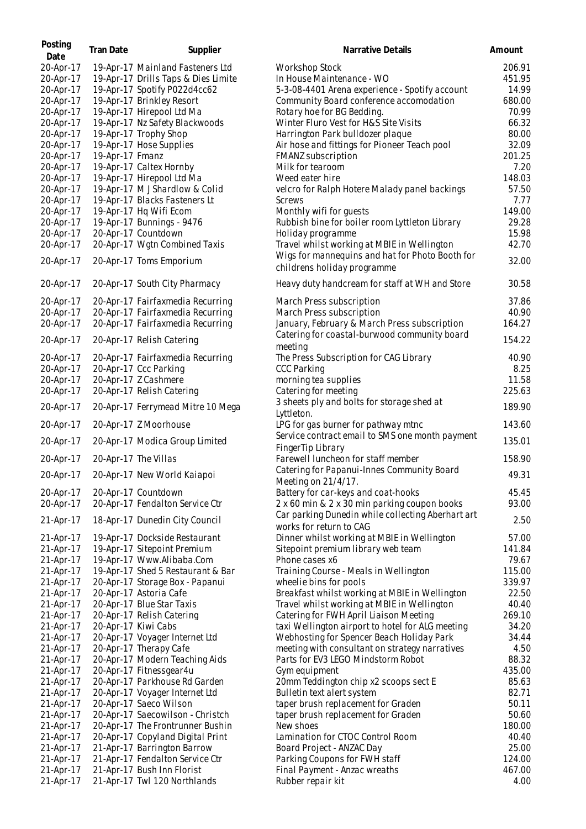| Posting<br>Date | Tran Date       | Supplier                            | Narrative Details                                                                | Amount |
|-----------------|-----------------|-------------------------------------|----------------------------------------------------------------------------------|--------|
| 20-Apr-17       |                 | 19-Apr-17 Mainland Fasteners Ltd    | <b>Workshop Stock</b>                                                            | 206.91 |
| 20-Apr-17       |                 | 19-Apr-17 Drills Taps & Dies Limite | In House Maintenance - WO                                                        | 451.95 |
| 20-Apr-17       |                 | 19-Apr-17 Spotify P022d4cc62        | 5-3-08-4401 Arena experience - Spotify account                                   | 14.99  |
| 20-Apr-17       |                 | 19-Apr-17 Brinkley Resort           | Community Board conference accomodation                                          | 680.00 |
| 20-Apr-17       |                 | 19-Apr-17 Hirepool Ltd Ma           | Rotary hoe for BG Bedding.                                                       | 70.99  |
| 20-Apr-17       |                 | 19-Apr-17 Nz Safety Blackwoods      | Winter Fluro Vest for H&S Site Visits                                            | 66.32  |
| 20-Apr-17       |                 | 19-Apr-17 Trophy Shop               | Harrington Park bulldozer plaque                                                 | 80.00  |
| 20-Apr-17       |                 | 19-Apr-17 Hose Supplies             | Air hose and fittings for Pioneer Teach pool                                     | 32.09  |
| 20-Apr-17       | 19-Apr-17 Fmanz |                                     | FMANZ subscription                                                               | 201.25 |
| 20-Apr-17       |                 | 19-Apr-17 Caltex Hornby             | Milk for tearoom                                                                 | 7.20   |
| 20-Apr-17       |                 | 19-Apr-17 Hirepool Ltd Ma           | Weed eater hire                                                                  | 148.03 |
| 20-Apr-17       |                 | 19-Apr-17 M J Shardlow & Colid      | velcro for Ralph Hotere Malady panel backings                                    | 57.50  |
| 20-Apr-17       |                 | 19-Apr-17 Blacks Fasteners Lt       | Screws                                                                           | 7.77   |
| 20-Apr-17       |                 | 19-Apr-17 Hq Wifi Ecom              | Monthly wifi for guests                                                          | 149.00 |
| 20-Apr-17       |                 | 19-Apr-17 Bunnings - 9476           | Rubbish bine for boiler room Lyttleton Library                                   | 29.28  |
| 20-Apr-17       |                 | 20-Apr-17 Countdown                 | Holiday programme                                                                | 15.98  |
| 20-Apr-17       |                 | 20-Apr-17 Wgtn Combined Taxis       | Travel whilst working at MBIE in Wellington                                      | 42.70  |
| 20-Apr-17       |                 | 20-Apr-17 Toms Emporium             | Wigs for mannequins and hat for Photo Booth for<br>childrens holiday programme   | 32.00  |
| 20-Apr-17       |                 | 20-Apr-17 South City Pharmacy       | Heavy duty handcream for staff at WH and Store                                   | 30.58  |
| 20-Apr-17       |                 | 20-Apr-17 Fairfaxmedia Recurring    | March Press subscription                                                         | 37.86  |
| 20-Apr-17       |                 | 20-Apr-17 Fairfaxmedia Recurring    | March Press subscription                                                         | 40.90  |
| 20-Apr-17       |                 | 20-Apr-17 Fairfaxmedia Recurring    | January, February & March Press subscription                                     | 164.27 |
| 20-Apr-17       |                 | 20-Apr-17 Relish Catering           | Catering for coastal-burwood community board<br>meeting                          | 154.22 |
| 20-Apr-17       |                 | 20-Apr-17 Fairfaxmedia Recurring    | The Press Subscription for CAG Library                                           | 40.90  |
| 20-Apr-17       |                 | 20-Apr-17 Ccc Parking               | <b>CCC Parking</b>                                                               | 8.25   |
| 20-Apr-17       |                 | 20-Apr-17 Z Cashmere                | morning tea supplies                                                             | 11.58  |
| 20-Apr-17       |                 | 20-Apr-17 Relish Catering           | Catering for meeting                                                             | 225.63 |
| 20-Apr-17       |                 | 20-Apr-17 Ferrymead Mitre 10 Mega   | 3 sheets ply and bolts for storage shed at<br>Lyttleton.                         | 189.90 |
| 20-Apr-17       |                 | 20-Apr-17 Z Moorhouse               | LPG for gas burner for pathway mtnc                                              | 143.60 |
| 20-Apr-17       |                 | 20-Apr-17 Modica Group Limited      | Service contract email to SMS one month payment<br>FingerTip Library             | 135.01 |
| 20-Apr-17       |                 | 20-Apr-17 The Villas                | Farewell luncheon for staff member<br>Catering for Papanui-Innes Community Board | 158.90 |
| 20-Apr-17       |                 | 20-Apr-17 New World Kaiapoi         | Meeting on 21/4/17.                                                              | 49.31  |
| 20-Apr-17       |                 | 20-Apr-17 Countdown                 | Battery for car-keys and coat-hooks                                              | 45.45  |
| 20-Apr-17       |                 | 20-Apr-17 Fendalton Service Ctr     | 2 x 60 min & 2 x 30 min parking coupon books                                     | 93.00  |
| 21-Apr-17       |                 | 18-Apr-17 Dunedin City Council      | Car parking Dunedin while collecting Aberhart art<br>works for return to CAG     | 2.50   |
| 21-Apr-17       |                 | 19-Apr-17 Dockside Restaurant       | Dinner whilst working at MBIE in Wellington                                      | 57.00  |
| 21-Apr-17       |                 | 19-Apr-17 Sitepoint Premium         | Sitepoint premium library web team                                               | 141.84 |
| 21-Apr-17       |                 | 19-Apr-17 Www.Alibaba.Com           | Phone cases x6                                                                   | 79.67  |
| 21-Apr-17       |                 | 19-Apr-17 Shed 5 Restaurant & Bar   | Training Course - Meals in Wellington                                            | 115.00 |
| 21-Apr-17       |                 | 20-Apr-17 Storage Box - Papanui     | wheelie bins for pools                                                           | 339.97 |
| 21-Apr-17       |                 | 20-Apr-17 Astoria Cafe              | Breakfast whilst working at MBIE in Wellington                                   | 22.50  |
| 21-Apr-17       |                 | 20-Apr-17 Blue Star Taxis           | Travel whilst working at MBIE in Wellington                                      | 40.40  |
| 21-Apr-17       |                 | 20-Apr-17 Relish Catering           | Catering for FWH April Liaison Meeting                                           | 269.10 |
| 21-Apr-17       |                 | 20-Apr-17 Kiwi Cabs                 | taxi Wellington airport to hotel for ALG meeting                                 | 34.20  |
| 21-Apr-17       |                 | 20-Apr-17 Voyager Internet Ltd      | Webhosting for Spencer Beach Holiday Park                                        | 34.44  |
| 21-Apr-17       |                 | 20-Apr-17 Therapy Cafe              | meeting with consultant on strategy narratives                                   | 4.50   |
| 21-Apr-17       |                 | 20-Apr-17 Modern Teaching Aids      | Parts for EV3 LEGO Mindstorm Robot                                               | 88.32  |
| 21-Apr-17       |                 | 20-Apr-17 Fitnessgear4u             | Gym equipment                                                                    | 435.00 |
| 21-Apr-17       |                 | 20-Apr-17 Parkhouse Rd Garden       | 20mm Teddington chip x2 scoops sect E                                            | 85.63  |
| 21-Apr-17       |                 | 20-Apr-17 Voyager Internet Ltd      | Bulletin text alert system                                                       | 82.71  |
| 21-Apr-17       |                 | 20-Apr-17 Saeco Wilson              | taper brush replacement for Graden                                               | 50.11  |
| 21-Apr-17       |                 | 20-Apr-17 Saecowilson - Christch    | taper brush replacement for Graden                                               | 50.60  |
| 21-Apr-17       |                 | 20-Apr-17 The Frontrunner Bushin    | New shoes                                                                        | 180.00 |
| 21-Apr-17       |                 | 20-Apr-17 Copyland Digital Print    | Lamination for CTOC Control Room                                                 | 40.40  |
| 21-Apr-17       |                 | 21-Apr-17 Barrington Barrow         | Board Project - ANZAC Day                                                        | 25.00  |
| 21-Apr-17       |                 | 21-Apr-17 Fendalton Service Ctr     | Parking Coupons for FWH staff                                                    | 124.00 |
| 21-Apr-17       |                 | 21-Apr-17 Bush Inn Florist          | Final Payment - Anzac wreaths                                                    | 467.00 |
| 21-Apr-17       |                 | 21-Apr-17 Twl 120 Northlands        | Rubber repair kit                                                                | 4.00   |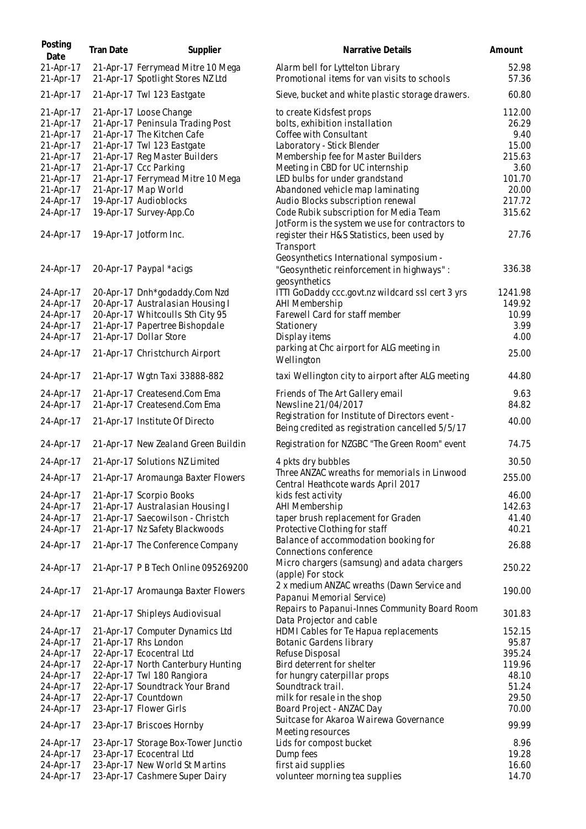| Posting<br>Date        | Tran Date | Supplier                                                               | Narrative Details                                                                                     | Amount          |
|------------------------|-----------|------------------------------------------------------------------------|-------------------------------------------------------------------------------------------------------|-----------------|
| 21-Apr-17<br>21-Apr-17 |           | 21-Apr-17 Ferrymead Mitre 10 Mega<br>21-Apr-17 Spotlight Stores NZ Ltd | Alarm bell for Lyttelton Library<br>Promotional items for van visits to schools                       | 52.98<br>57.36  |
| 21-Apr-17              |           | 21-Apr-17 Twl 123 Eastgate                                             | Sieve, bucket and white plastic storage drawers.                                                      | 60.80           |
| 21-Apr-17<br>21-Apr-17 |           | 21-Apr-17 Loose Change<br>21-Apr-17 Peninsula Trading Post             | to create Kidsfest props<br>bolts, exhibition installation                                            | 112.00<br>26.29 |
| 21-Apr-17              |           | 21-Apr-17 The Kitchen Cafe                                             | Coffee with Consultant                                                                                | 9.40            |
| 21-Apr-17<br>21-Apr-17 |           | 21-Apr-17 Twl 123 Eastgate<br>21-Apr-17 Reg Master Builders            | Laboratory - Stick Blender                                                                            | 15.00<br>215.63 |
| 21-Apr-17              |           | 21-Apr-17 Ccc Parking                                                  | Membership fee for Master Builders<br>Meeting in CBD for UC internship                                | 3.60            |
| 21-Apr-17              |           | 21-Apr-17 Ferrymead Mitre 10 Mega                                      | LED bulbs for under grandstand                                                                        | 101.70          |
| 21-Apr-17              |           | 21-Apr-17 Map World                                                    | Abandoned vehicle map laminating                                                                      | 20.00           |
| 24-Apr-17              |           | 19-Apr-17 Audioblocks                                                  | Audio Blocks subscription renewal                                                                     | 217.72          |
| 24-Apr-17              |           | 19-Apr-17 Survey-App.Co                                                | Code Rubik subscription for Media Team<br>JotForm is the system we use for contractors to             | 315.62          |
| 24-Apr-17              |           | 19-Apr-17 Jotform Inc.                                                 | register their H&S Statistics, been used by<br>Transport                                              | 27.76           |
| 24-Apr-17              |           | 20-Apr-17 Paypal *acigs                                                | Geosynthetics International symposium -<br>"Geosynthetic reinforcement in highways":<br>geosynthetics | 336.38          |
| 24-Apr-17              |           | 20-Apr-17 Dnh*godaddy.Com Nzd                                          | ITTI GoDaddy ccc.govt.nz wildcard ssl cert 3 yrs                                                      | 1241.98         |
| 24-Apr-17              |           | 20-Apr-17 Australasian Housing I                                       | AHI Membership                                                                                        | 149.92          |
| 24-Apr-17              |           | 20-Apr-17 Whitcoulls Sth City 95                                       | Farewell Card for staff member                                                                        | 10.99           |
| 24-Apr-17              |           | 21-Apr-17 Papertree Bishopdale                                         | Stationery                                                                                            | 3.99            |
| 24-Apr-17              |           | 21-Apr-17 Dollar Store                                                 | Display items<br>parking at Chc airport for ALG meeting in                                            | 4.00            |
| 24-Apr-17              |           | 21-Apr-17 Christchurch Airport                                         | Wellington                                                                                            | 25.00           |
| 24-Apr-17              |           | 21-Apr-17 Wgtn Taxi 33888-882                                          | taxi Wellington city to airport after ALG meeting                                                     | 44.80           |
| 24-Apr-17<br>24-Apr-17 |           | 21-Apr-17 Createsend.Com Ema<br>21-Apr-17 Createsend.Com Ema           | Friends of The Art Gallery email<br>Newsline 21/04/2017                                               | 9.63<br>84.82   |
| 24-Apr-17              |           | 21-Apr-17 Institute Of Directo                                         | Registration for Institute of Directors event -<br>Being credited as registration cancelled 5/5/17    | 40.00           |
| 24-Apr-17              |           | 21-Apr-17 New Zealand Green Buildin                                    | Registration for NZGBC "The Green Room" event                                                         | 74.75           |
| 24-Apr-17              |           | 21-Apr-17 Solutions NZ Limited                                         | 4 pkts dry bubbles                                                                                    | 30.50           |
| 24-Apr-17              |           | 21-Apr-17 Aromaunga Baxter Flowers                                     | Three ANZAC wreaths for memorials in Linwood<br>Central Heathcote wards April 2017                    | 255.00          |
| 24-Apr-17              |           | 21-Apr-17 Scorpio Books                                                | kids fest activity                                                                                    | 46.00           |
| 24-Apr-17              |           | 21-Apr-17 Australasian Housing I                                       | AHI Membership                                                                                        | 142.63          |
| 24-Apr-17              |           | 21-Apr-17 Saecowilson - Christch                                       | taper brush replacement for Graden                                                                    | 41.40           |
| 24-Apr-17              |           | 21-Apr-17 Nz Safety Blackwoods                                         | Protective Clothing for staff                                                                         | 40.21           |
| 24-Apr-17              |           | 21-Apr-17 The Conference Company                                       | Balance of accommodation booking for<br>Connections conference                                        | 26.88           |
| 24-Apr-17              |           | 21-Apr-17 P B Tech Online 095269200                                    | Micro chargers (samsung) and adata chargers<br>(apple) For stock                                      | 250.22          |
| 24-Apr-17              |           | 21-Apr-17 Aromaunga Baxter Flowers                                     | 2 x medium ANZAC wreaths (Dawn Service and<br>Papanui Memorial Service)                               | 190.00          |
| 24-Apr-17              |           | 21-Apr-17 Shipleys Audiovisual                                         | Repairs to Papanui-Innes Community Board Room<br>Data Projector and cable                             | 301.83          |
| 24-Apr-17              |           | 21-Apr-17 Computer Dynamics Ltd                                        | HDMI Cables for Te Hapua replacements                                                                 | 152.15          |
| 24-Apr-17              |           | 21-Apr-17 Rhs London                                                   | Botanic Gardens library                                                                               | 95.87           |
| 24-Apr-17              |           | 22-Apr-17 Ecocentral Ltd                                               | Refuse Disposal                                                                                       | 395.24          |
| 24-Apr-17              |           | 22-Apr-17 North Canterbury Hunting                                     | Bird deterrent for shelter                                                                            | 119.96          |
| 24-Apr-17              |           | 22-Apr-17 Twl 180 Rangiora                                             | for hungry caterpillar props                                                                          | 48.10           |
| 24-Apr-17              |           | 22-Apr-17 Soundtrack Your Brand                                        | Soundtrack trail.                                                                                     | 51.24           |
| 24-Apr-17              |           | 22-Apr-17 Countdown                                                    | milk for resale in the shop                                                                           | 29.50           |
| 24-Apr-17              |           | 23-Apr-17 Flower Girls                                                 | Board Project - ANZAC Day<br>Suitcase for Akaroa Wairewa Governance                                   | 70.00           |
| 24-Apr-17              |           | 23-Apr-17 Briscoes Hornby                                              | Meeting resources                                                                                     | 99.99           |
| 24-Apr-17              |           | 23-Apr-17 Storage Box-Tower Junctio                                    | Lids for compost bucket                                                                               | 8.96            |
| 24-Apr-17<br>24-Apr-17 |           | 23-Apr-17 Ecocentral Ltd                                               | Dump fees                                                                                             | 19.28           |
| 24-Apr-17              |           | 23-Apr-17 New World St Martins<br>23-Apr-17 Cashmere Super Dairy       | first aid supplies<br>volunteer morning tea supplies                                                  | 16.60<br>14.70  |
|                        |           |                                                                        |                                                                                                       |                 |